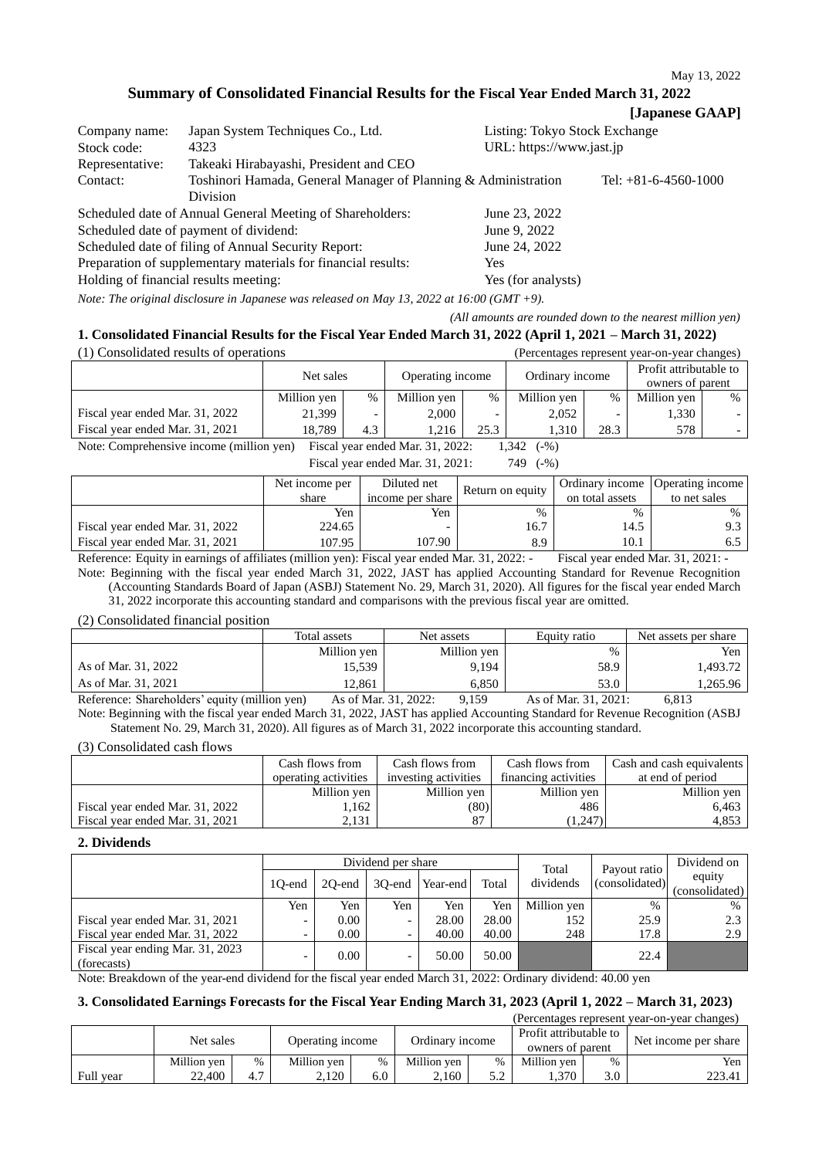**Summary of Consolidated Financial Results for the Fiscal Year Ended March 31, 2022**

## **[Japanese GAAP]**

| Company name:   | Japan System Techniques Co., Ltd.                              | Listing: Tokyo Stock Exchange |                        |
|-----------------|----------------------------------------------------------------|-------------------------------|------------------------|
| Stock code:     | 4323                                                           | URL: https://www.jast.jp      |                        |
| Representative: | Takeaki Hirabayashi, President and CEO                         |                               |                        |
| Contact:        | Toshinori Hamada, General Manager of Planning & Administration |                               | Tel: $+81-6-4560-1000$ |
|                 | <b>Division</b>                                                |                               |                        |
|                 | Scheduled date of Annual General Meeting of Shareholders:      | June 23, 2022                 |                        |
|                 | Scheduled date of payment of dividend:                         | June 9, 2022                  |                        |
|                 | Scheduled date of filing of Annual Security Report:            | June 24, 2022                 |                        |
|                 | Preparation of supplementary materials for financial results:  | Yes.                          |                        |

Holding of financial results meeting: Yes (for analysts) *Note: The original disclosure in Japanese was released on May 13, 2022 at 16:00 (GMT +9).*

*(All amounts are rounded down to the nearest million yen)*

## **1. Consolidated Financial Results for the Fiscal Year Ended March 31, 2022 (April 1, 2021 – March 31, 2022)**

| (1) Consolidated results of operations                                                                        |             |               |                  |               |                 |                          | (Percentages represent year-on-year changes) |        |
|---------------------------------------------------------------------------------------------------------------|-------------|---------------|------------------|---------------|-----------------|--------------------------|----------------------------------------------|--------|
|                                                                                                               | Net sales   |               |                  |               |                 |                          | Profit attributable to                       |        |
|                                                                                                               |             |               | Operating income |               | Ordinary income |                          | owners of parent                             |        |
|                                                                                                               | Million yen | $\frac{0}{0}$ | Million yen      | $\frac{0}{0}$ | Million yen     | $\%$                     | Million yen                                  | $\%$   |
| Fiscal year ended Mar. 31, 2022                                                                               | 21.399      |               | 2.000            |               | 2,052           | $\overline{\phantom{0}}$ | 1.330                                        |        |
| Fiscal year ended Mar. 31, 2021                                                                               | 18.789      | 4.3           | 1.216            | 25.3          | 1.310           | 28.3                     | 578                                          | $\sim$ |
| $Nof$ $Ccommap$ benefits in some $(mi)i$ and $(mi)i$<br>$E_{1222}$ , researched Man 21, 2022.<br>1.212<br>(0) |             |               |                  |               |                 |                          |                                              |        |

Note: Comprehensive income (million yen) Fiscal year ended Mar. 31, 2022: 1,342 (-%) Fiscal year ended Mar. 31, 2021: 749 (-%)

|                                 | Net income per | Diluted net      |                  |                 | Ordinary income   Operating income |
|---------------------------------|----------------|------------------|------------------|-----------------|------------------------------------|
|                                 | share          | income per share | Return on equity | on total assets | to net sales                       |
|                                 | Yen            | Yen              | %                | $\%$            | $\%$                               |
| Fiscal year ended Mar. 31, 2022 | 224.65         |                  | 16.7             | 14.5            |                                    |
| Fiscal year ended Mar. 31, 2021 | 107.95         | 107.90           | 8.9              | 10.1            |                                    |

Reference: Equity in earnings of affiliates (million yen): Fiscal year ended Mar. 31, 2022: - Fiscal year ended Mar. 31, 2021: - Note: Beginning with the fiscal year ended March 31, 2022, JAST has applied Accounting Standard for Revenue Recognition (Accounting Standards Board of Japan (ASBJ) Statement No. 29, March 31, 2020). All figures for the fiscal year ended March 31, 2022 incorporate this accounting standard and comparisons with the previous fiscal year are omitted.

(2) Consolidated financial position

|                                               | Total assets         | Net assets  | Equity ratio         | Net assets per share |
|-----------------------------------------------|----------------------|-------------|----------------------|----------------------|
|                                               | Million yen          | Million yen | $\%$                 | Yen.                 |
| As of Mar. 31, 2022                           | 15,539               | 9.194       | 58.9                 | 1.493.72             |
| As of Mar. 31, 2021                           | 12.861               | 6.850       | 53.0                 | 1,265.96             |
| Reference: Shareholders' equity (million yen) | As of Mar. 31, 2022: | 9.159       | As of Mar. 31, 2021: | 6.813                |

Note: Beginning with the fiscal year ended March 31, 2022, JAST has applied Accounting Standard for Revenue Recognition (ASBJ Statement No. 29, March 31, 2020). All figures as of March 31, 2022 incorporate this accounting standard.

(3) Consolidated cash flows

|                                 | Cash flows from      | Cash flows from      | Cash flows from      | Cash and cash equivalents |
|---------------------------------|----------------------|----------------------|----------------------|---------------------------|
|                                 | operating activities | investing activities | financing activities | at end of period          |
|                                 | Million yen          | Million yen          | Million yen          | Million yen               |
| Fiscal year ended Mar. 31, 2022 | ,162                 | (80)                 | 486                  | 6.463                     |
| Fiscal year ended Mar. 31, 2021 | 2.131                | 87                   | (1,247)              | 4.853                     |

#### **2. Dividends**

|                                                 | Dividend per share |        |           |          |       | Total       | Payout ratio   | Dividend on              |
|-------------------------------------------------|--------------------|--------|-----------|----------|-------|-------------|----------------|--------------------------|
|                                                 | 10-end             | 20-end | $30$ -end | Year-end | Total | dividends   | (consolidated) | equity<br>(consolidated) |
|                                                 | Yen                | Yen    | Yen       | Yen      | Yen   | Million ven | $\%$           | $\frac{0}{0}$            |
| Fiscal year ended Mar. 31, 2021                 | -                  | 0.00   | -         | 28.00    | 28.00 | 152         | 25.9           | 2.3                      |
| Fiscal year ended Mar. 31, 2022                 |                    | 0.00   | -         | 40.00    | 40.00 | 248         | 17.8           | 2.9                      |
| Fiscal year ending Mar. 31, 2023<br>(forecasts) |                    | 0.00   | -         | 50.00    | 50.00 |             | 22.4           |                          |

Note: Breakdown of the year-end dividend for the fiscal year ended March 31, 2022: Ordinary dividend: 40.00 yen

## **3. Consolidated Earnings Forecasts for the Fiscal Year Ending March 31, 2023 (April 1, 2022 – March 31, 2023)**

(Percentages represent year-on-year changes)

|           | Net sales   |            | Operating income |     | Ordinarv income |                        | Profit attributable to<br>owners of parent |               | Net income per share |
|-----------|-------------|------------|------------------|-----|-----------------|------------------------|--------------------------------------------|---------------|----------------------|
|           | Million ven | %          | Million ven      | %   | Million ven     | $\%$                   | Million ven                                | $\frac{0}{0}$ | Yen                  |
| Full year | 22.400      | . .<br>4.7 | 2.120            | 6.0 | 2.160           | $\sim$ $\sim$<br>ے ، ب | 1,370                                      | 3.0           | 223.41               |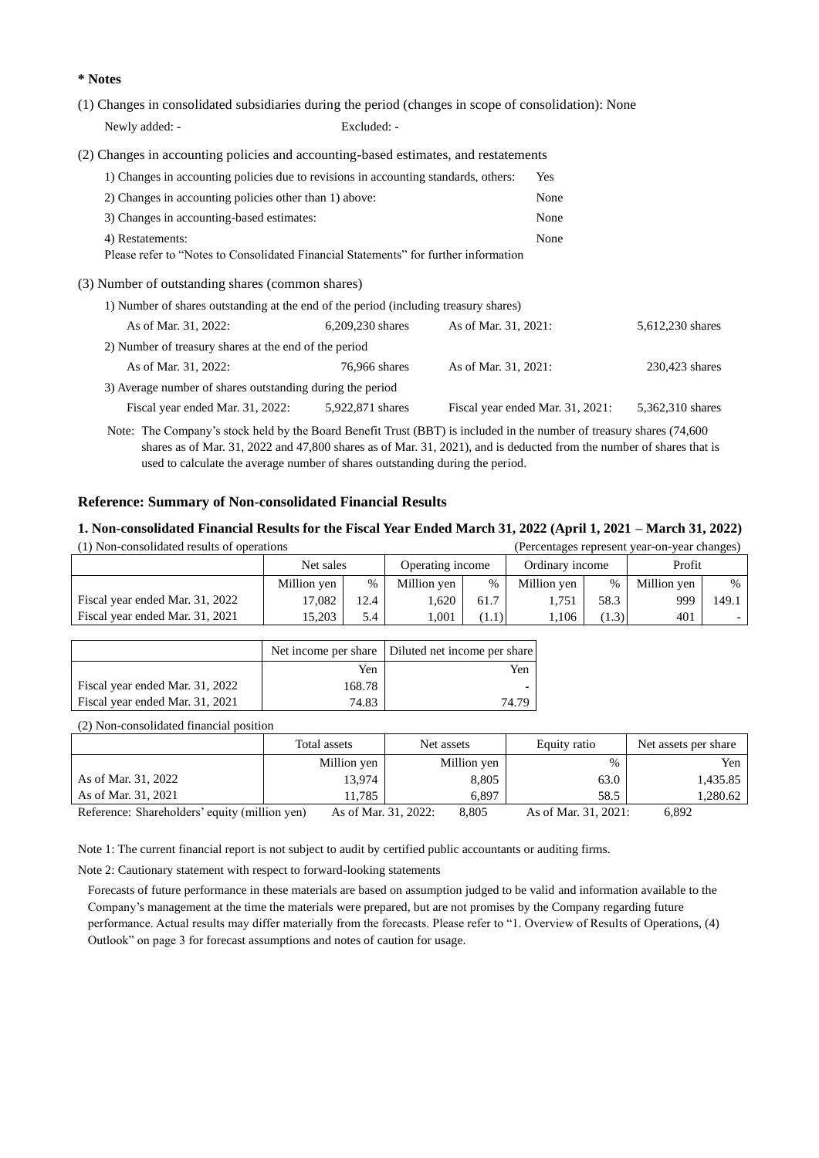## **\* Notes**

(1) Changes in consolidated subsidiaries during the period (changes in scope of consolidation): None Newly added: - Excluded: -

(2) Changes in accounting policies and accounting-based estimates, and restatements

| 1) Changes in accounting policies due to revisions in accounting standards, others:  | Yes              |                                  |                  |
|--------------------------------------------------------------------------------------|------------------|----------------------------------|------------------|
| 2) Changes in accounting policies other than 1) above:                               | None             |                                  |                  |
| 3) Changes in accounting-based estimates:                                            |                  | None                             |                  |
| 4) Restatements:                                                                     |                  | None                             |                  |
| Please refer to "Notes to Consolidated Financial Statements" for further information |                  |                                  |                  |
| (3) Number of outstanding shares (common shares)                                     |                  |                                  |                  |
| 1) Number of shares outstanding at the end of the period (including treasury shares) |                  |                                  |                  |
| As of Mar. 31, 2022:                                                                 | 6,209,230 shares | As of Mar. 31, 2021:             | 5,612,230 shares |
| 2) Number of treasury shares at the end of the period                                |                  |                                  |                  |
| As of Mar. 31, 2022:                                                                 | 76,966 shares    | As of Mar. 31, 2021:             | 230,423 shares   |
| 3) Average number of shares outstanding during the period                            |                  |                                  |                  |
| Fiscal year ended Mar. 31, 2022:                                                     | 5,922,871 shares | Fiscal year ended Mar. 31, 2021: | 5.362.310 shares |
|                                                                                      |                  |                                  |                  |

Note: The Company's stock held by the Board Benefit Trust (BBT) is included in the number of treasury shares (74,600 shares as of Mar. 31, 2022 and 47,800 shares as of Mar. 31, 2021), and is deducted from the number of shares that is used to calculate the average number of shares outstanding during the period.

## **Reference: Summary of Non-consolidated Financial Results**

# **1. Non-consolidated Financial Results for the Fiscal Year Ended March 31, 2022 (April 1, 2021 – March 31, 2022)**

| (1) Non-consolidated results of operations |             |      |                  |       |                 |       | (Percentages represent year-on-year changes) |       |
|--------------------------------------------|-------------|------|------------------|-------|-----------------|-------|----------------------------------------------|-------|
|                                            | Net sales   |      | Operating income |       | Ordinary income |       | Profit                                       |       |
|                                            | Million yen | %    | Million yen      | $\%$  | Million yen     | %     | Million ven                                  | $\%$  |
| Fiscal year ended Mar. 31, 2022            | 17.082      | 12.4 | .620             | 61.7  | 1.751           | 58.3  | 999                                          | 149.1 |
| Fiscal year ended Mar. 31, 2021            | 15.203      | 5.4  | 1.001            | (1.1) | 1.106           | (1.3) | 401                                          |       |

|                                 |        | Net income per share Diluted net income per share |
|---------------------------------|--------|---------------------------------------------------|
|                                 | Yen    | Yen                                               |
| Fiscal year ended Mar. 31, 2022 | 168.78 |                                                   |
| Fiscal year ended Mar. 31, 2021 | 74.83  | 74.79                                             |

(2) Non-consolidated financial position

|                                               | Total assets         | Net assets  | Equity ratio         | Net assets per share |
|-----------------------------------------------|----------------------|-------------|----------------------|----------------------|
|                                               | Million yen          | Million yen | %                    | Yen                  |
| As of Mar. 31, 2022                           | 13,974               | 8,805       | 63.0                 | 1.435.85             |
| As of Mar. 31, 2021                           | 11.785               | 6.897       | 58.5                 | 1.280.62             |
| Reference: Shareholders' equity (million yen) | As of Mar. 31, 2022: | 8.805       | As of Mar. 31, 2021: | 6.892                |

Note 1: The current financial report is not subject to audit by certified public accountants or auditing firms.

Note 2: Cautionary statement with respect to forward-looking statements

Forecasts of future performance in these materials are based on assumption judged to be valid and information available to the Company's management at the time the materials were prepared, but are not promises by the Company regarding future performance. Actual results may differ materially from the forecasts. Please refer to "1. Overview of Results of Operations, (4) Outlook" on page 3 for forecast assumptions and notes of caution for usage.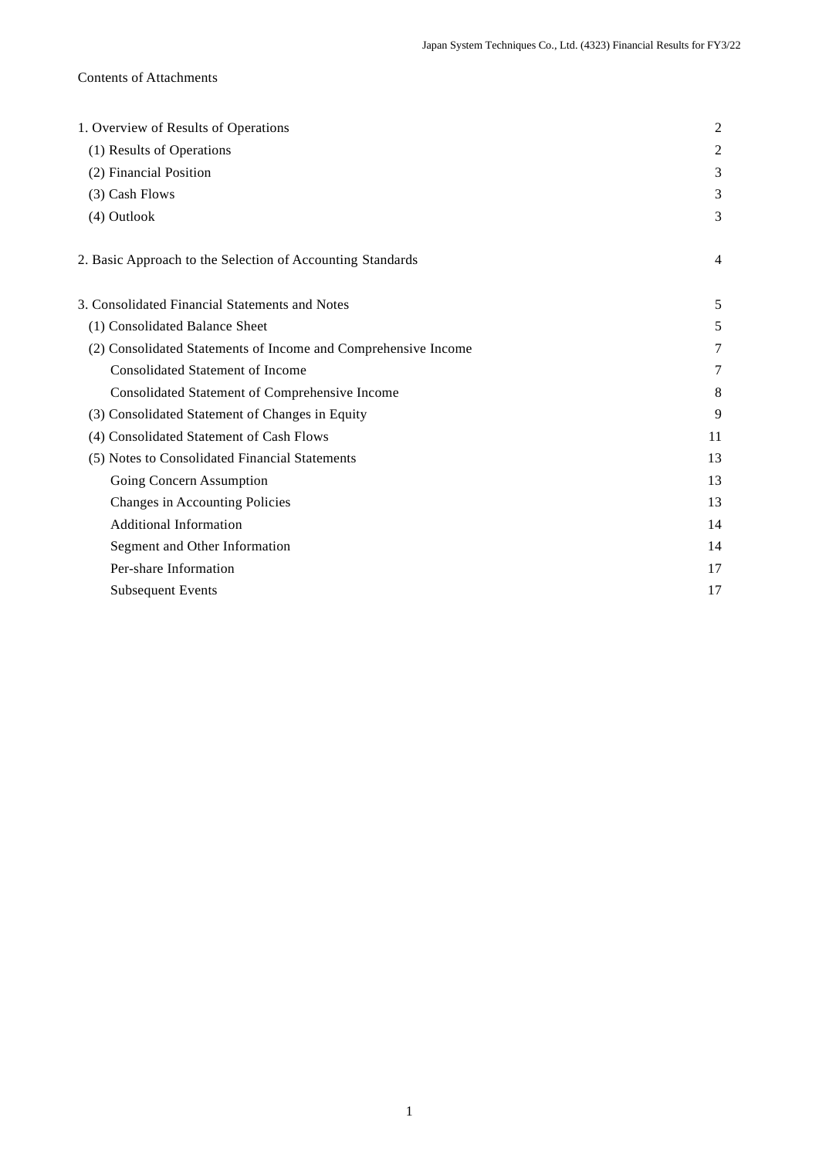# Contents of Attachments

| 1. Overview of Results of Operations                           | $\overline{c}$ |
|----------------------------------------------------------------|----------------|
| (1) Results of Operations                                      | 2              |
| (2) Financial Position                                         | 3              |
| (3) Cash Flows                                                 | 3              |
| (4) Outlook                                                    | 3              |
| 2. Basic Approach to the Selection of Accounting Standards     | 4              |
| 3. Consolidated Financial Statements and Notes                 | 5              |
| (1) Consolidated Balance Sheet                                 | 5              |
| (2) Consolidated Statements of Income and Comprehensive Income | 7              |
| <b>Consolidated Statement of Income</b>                        | 7              |
| Consolidated Statement of Comprehensive Income                 | 8              |
| (3) Consolidated Statement of Changes in Equity                | 9              |
| (4) Consolidated Statement of Cash Flows                       | 11             |
| (5) Notes to Consolidated Financial Statements                 | 13             |
| Going Concern Assumption                                       | 13             |
| Changes in Accounting Policies                                 | 13             |
| <b>Additional Information</b>                                  | 14             |
| Segment and Other Information                                  | 14             |
| Per-share Information                                          | 17             |
| <b>Subsequent Events</b>                                       | 17             |
|                                                                |                |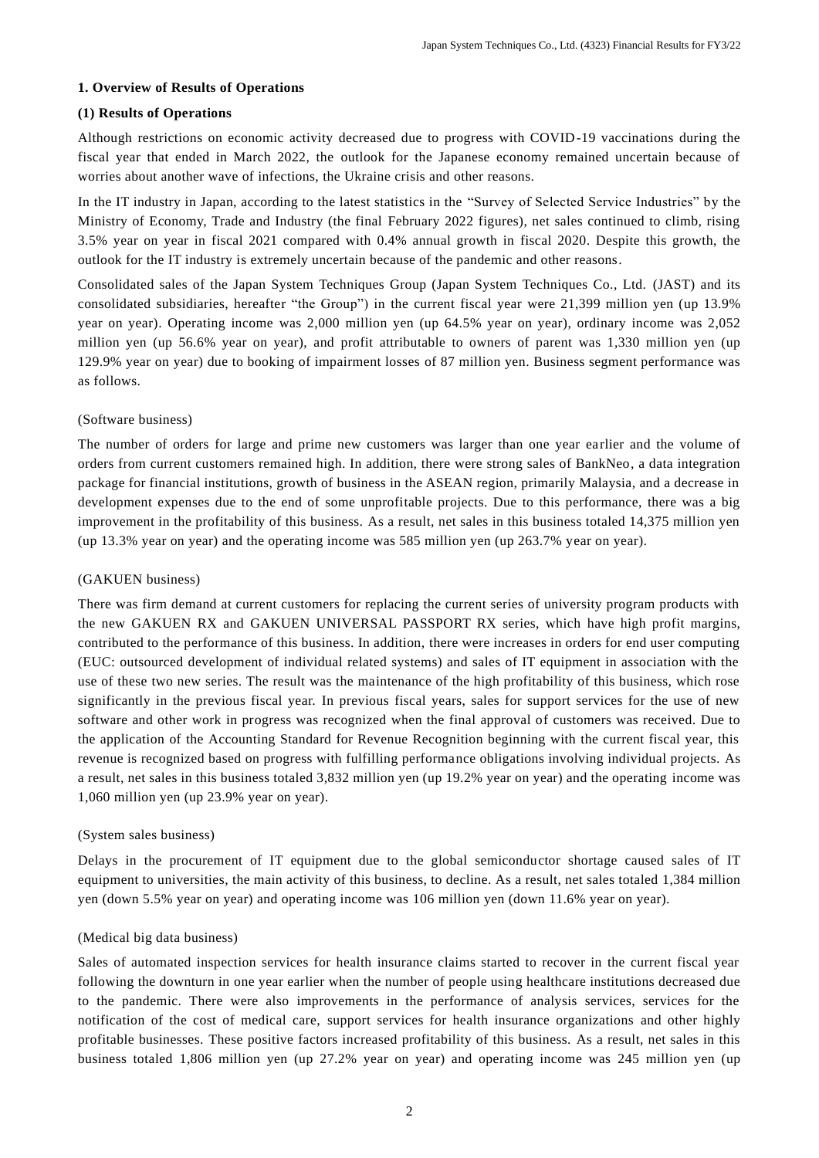# **1. Overview of Results of Operations**

# **(1) Results of Operations**

Although restrictions on economic activity decreased due to progress with COVID-19 vaccinations during the fiscal year that ended in March 2022, the outlook for the Japanese economy remained uncertain because of worries about another wave of infections, the Ukraine crisis and other reasons.

In the IT industry in Japan, according to the latest statistics in the "Survey of Selected Service Industries" by the Ministry of Economy, Trade and Industry (the final February 2022 figures), net sales continued to climb, rising 3.5% year on year in fiscal 2021 compared with 0.4% annual growth in fiscal 2020. Despite this growth, the outlook for the IT industry is extremely uncertain because of the pandemic and other reasons.

Consolidated sales of the Japan System Techniques Group (Japan System Techniques Co., Ltd. (JAST) and its consolidated subsidiaries, hereafter "the Group") in the current fiscal year were 21,399 million yen (up 13.9% year on year). Operating income was 2,000 million yen (up 64.5% year on year), ordinary income was 2,052 million yen (up 56.6% year on year), and profit attributable to owners of parent was 1,330 million yen (up 129.9% year on year) due to booking of impairment losses of 87 million yen. Business segment performance was as follows.

# (Software business)

The number of orders for large and prime new customers was larger than one year earlier and the volume of orders from current customers remained high. In addition, there were strong sales of BankNeo, a data integration package for financial institutions, growth of business in the ASEAN region, primarily Malaysia, and a decrease in development expenses due to the end of some unprofitable projects. Due to this performance, there was a big improvement in the profitability of this business. As a result, net sales in this business totaled 14,375 million yen (up 13.3% year on year) and the operating income was 585 million yen (up 263.7% year on year).

# (GAKUEN business)

There was firm demand at current customers for replacing the current series of university program products with the new GAKUEN RX and GAKUEN UNIVERSAL PASSPORT RX series, which have high profit margins, contributed to the performance of this business. In addition, there were increases in orders for end user computing (EUC: outsourced development of individual related systems) and sales of IT equipment in association with the use of these two new series. The result was the maintenance of the high profitability of this business, which rose significantly in the previous fiscal year. In previous fiscal years, sales for support services for the use of new software and other work in progress was recognized when the final approval of customers was received. Due to the application of the Accounting Standard for Revenue Recognition beginning with the current fiscal year, this revenue is recognized based on progress with fulfilling performance obligations involving individual projects. As a result, net sales in this business totaled 3,832 million yen (up 19.2% year on year) and the operating income was 1,060 million yen (up 23.9% year on year).

## (System sales business)

Delays in the procurement of IT equipment due to the global semiconductor shortage caused sales of IT equipment to universities, the main activity of this business, to decline. As a result, net sales totaled 1,384 million yen (down 5.5% year on year) and operating income was 106 million yen (down 11.6% year on year).

## (Medical big data business)

Sales of automated inspection services for health insurance claims started to recover in the current fiscal year following the downturn in one year earlier when the number of people using healthcare institutions decreased due to the pandemic. There were also improvements in the performance of analysis services, services for the notification of the cost of medical care, support services for health insurance organizations and other highly profitable businesses. These positive factors increased profitability of this business. As a result, net sales in this business totaled 1,806 million yen (up 27.2% year on year) and operating income was 245 million yen (up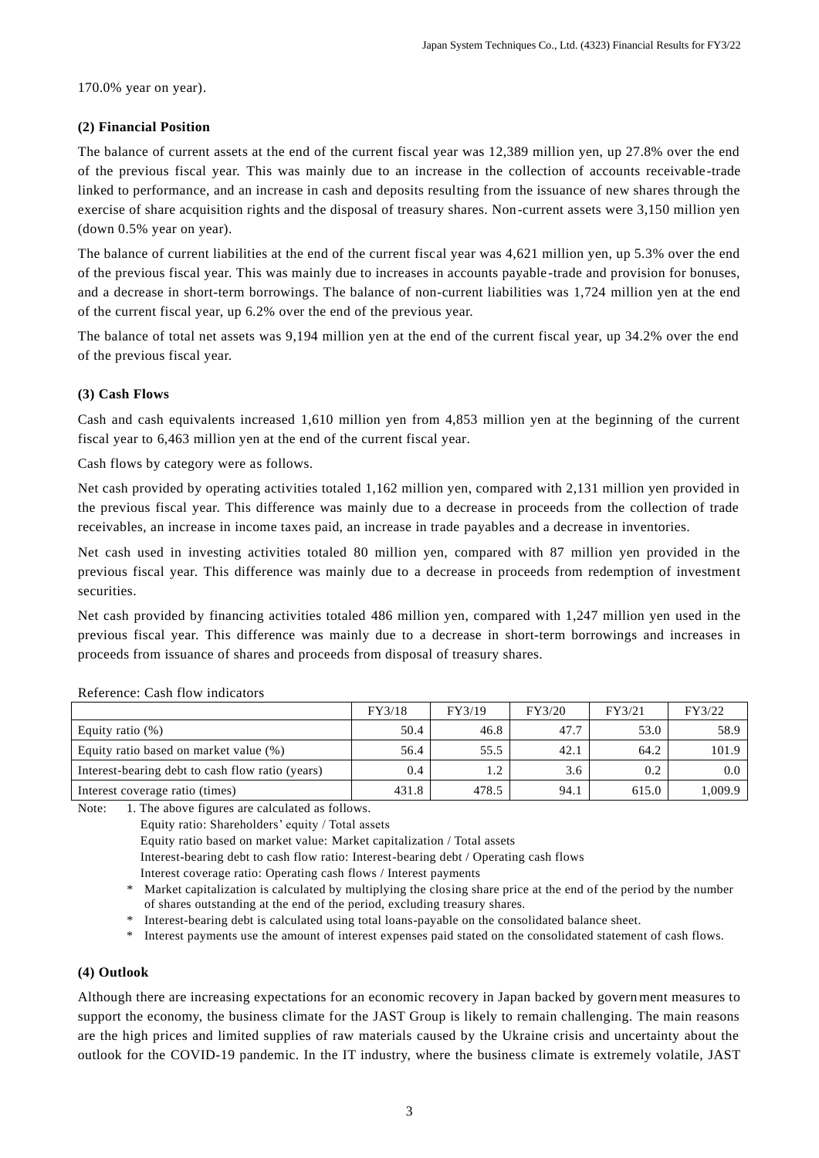170.0% year on year).

## **(2) Financial Position**

The balance of current assets at the end of the current fiscal year was 12,389 million yen, up 27.8% over the end of the previous fiscal year. This was mainly due to an increase in the collection of accounts receivable-trade linked to performance, and an increase in cash and deposits resulting from the issuance of new shares through the exercise of share acquisition rights and the disposal of treasury shares. Non-current assets were 3,150 million yen (down 0.5% year on year).

The balance of current liabilities at the end of the current fiscal year was 4,621 million yen, up 5.3% over the end of the previous fiscal year. This was mainly due to increases in accounts payable -trade and provision for bonuses, and a decrease in short-term borrowings. The balance of non-current liabilities was 1,724 million yen at the end of the current fiscal year, up 6.2% over the end of the previous year.

The balance of total net assets was 9,194 million yen at the end of the current fiscal year, up 34.2% over the end of the previous fiscal year.

# **(3) Cash Flows**

Cash and cash equivalents increased 1,610 million yen from 4,853 million yen at the beginning of the current fiscal year to 6,463 million yen at the end of the current fiscal year.

Cash flows by category were as follows.

Net cash provided by operating activities totaled 1,162 million yen, compared with 2,131 million yen provided in the previous fiscal year. This difference was mainly due to a decrease in proceeds from the collection of trade receivables, an increase in income taxes paid, an increase in trade payables and a decrease in inventories.

Net cash used in investing activities totaled 80 million yen, compared with 87 million yen provided in the previous fiscal year. This difference was mainly due to a decrease in proceeds from redemption of investment securities.

Net cash provided by financing activities totaled 486 million yen, compared with 1,247 million yen used in the previous fiscal year. This difference was mainly due to a decrease in short-term borrowings and increases in proceeds from issuance of shares and proceeds from disposal of treasury shares.

|                                                  | FY3/18 | FY3/19 | FY3/20        | FY3/21 | FY3/22 |
|--------------------------------------------------|--------|--------|---------------|--------|--------|
| Equity ratio $(\%)$                              | 50.4   | 46.8   | 47.7          | 53.0   | 58.9   |
| Equity ratio based on market value (%)           | 56.4   | 55.5   | 42.1          | 64.2   | 101.9  |
| Interest-bearing debt to cash flow ratio (years) | 0.4    |        | $3.6^{\circ}$ | 0.2    | 0.0    |
| Interest coverage ratio (times)                  | 431.8  | 478.5  | 94.1          | 615.0  | .009.9 |

Reference: Cash flow indicators

Note: 1. The above figures are calculated as follows.

Equity ratio: Shareholders' equity / Total assets

Equity ratio based on market value: Market capitalization / Total assets

Interest-bearing debt to cash flow ratio: Interest-bearing debt / Operating cash flows

Interest coverage ratio: Operating cash flows / Interest payments

- \* Market capitalization is calculated by multiplying the closing share price at the end of the period by the number of shares outstanding at the end of the period, excluding treasury shares.
- \* Interest-bearing debt is calculated using total loans-payable on the consolidated balance sheet.
- Interest payments use the amount of interest expenses paid stated on the consolidated statement of cash flows.

# **(4) Outlook**

Although there are increasing expectations for an economic recovery in Japan backed by government measures to support the economy, the business climate for the JAST Group is likely to remain challenging. The main reasons are the high prices and limited supplies of raw materials caused by the Ukraine crisis and uncertainty about the outlook for the COVID-19 pandemic. In the IT industry, where the business climate is extremely volatile, JAST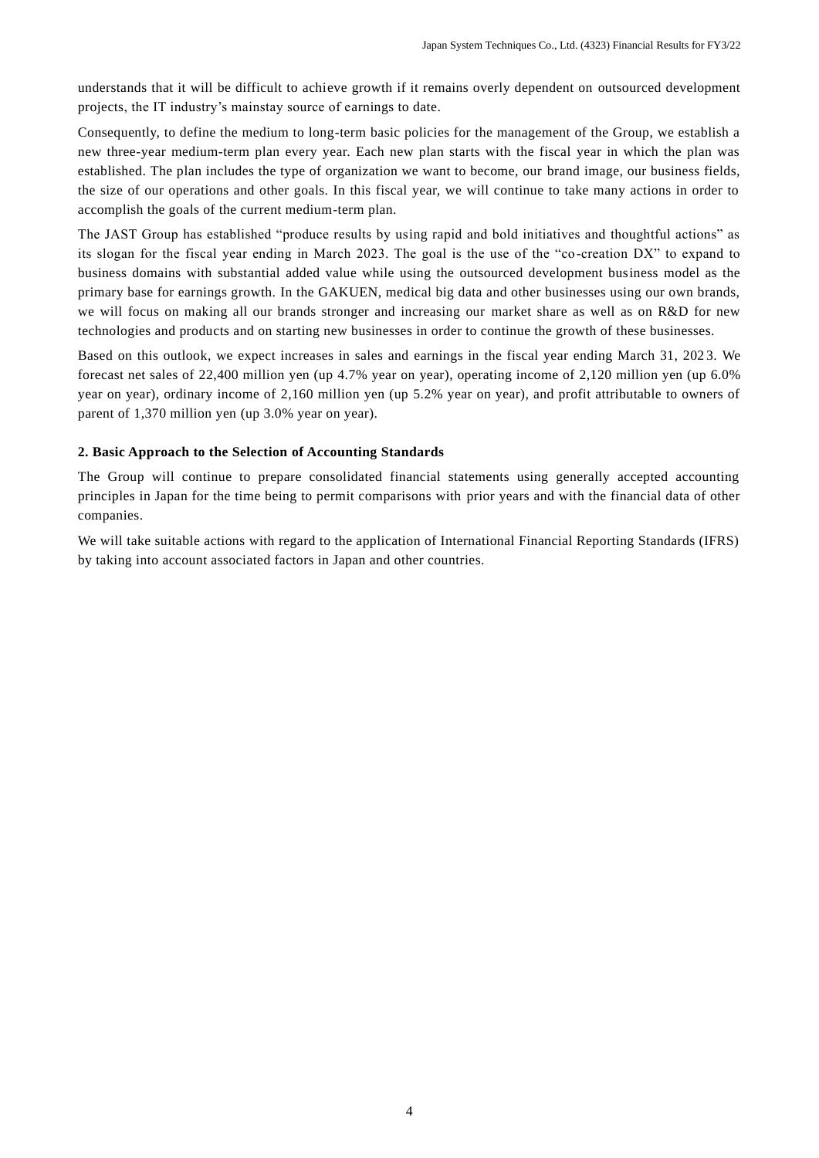understands that it will be difficult to achieve growth if it remains overly dependent on outsourced development projects, the IT industry's mainstay source of earnings to date.

Consequently, to define the medium to long-term basic policies for the management of the Group, we establish a new three-year medium-term plan every year. Each new plan starts with the fiscal year in which the plan was established. The plan includes the type of organization we want to become, our brand image, our business fields, the size of our operations and other goals. In this fiscal year, we will continue to take many actions in order to accomplish the goals of the current medium-term plan.

The JAST Group has established "produce results by using rapid and bold initiatives and thoughtful actions" as its slogan for the fiscal year ending in March 2023. The goal is the use of the "co-creation DX" to expand to business domains with substantial added value while using the outsourced development business model as the primary base for earnings growth. In the GAKUEN, medical big data and other businesses using our own brands, we will focus on making all our brands stronger and increasing our market share as well as on R&D for new technologies and products and on starting new businesses in order to continue the growth of these businesses.

Based on this outlook, we expect increases in sales and earnings in the fiscal year ending March 31, 202 3. We forecast net sales of 22,400 million yen (up 4.7% year on year), operating income of 2,120 million yen (up 6.0% year on year), ordinary income of 2,160 million yen (up 5.2% year on year), and profit attributable to owners of parent of 1,370 million yen (up 3.0% year on year).

## **2. Basic Approach to the Selection of Accounting Standards**

The Group will continue to prepare consolidated financial statements using generally accepted accounting principles in Japan for the time being to permit comparisons with prior years and with the financial data of other companies.

We will take suitable actions with regard to the application of International Financial Reporting Standards (IFRS) by taking into account associated factors in Japan and other countries.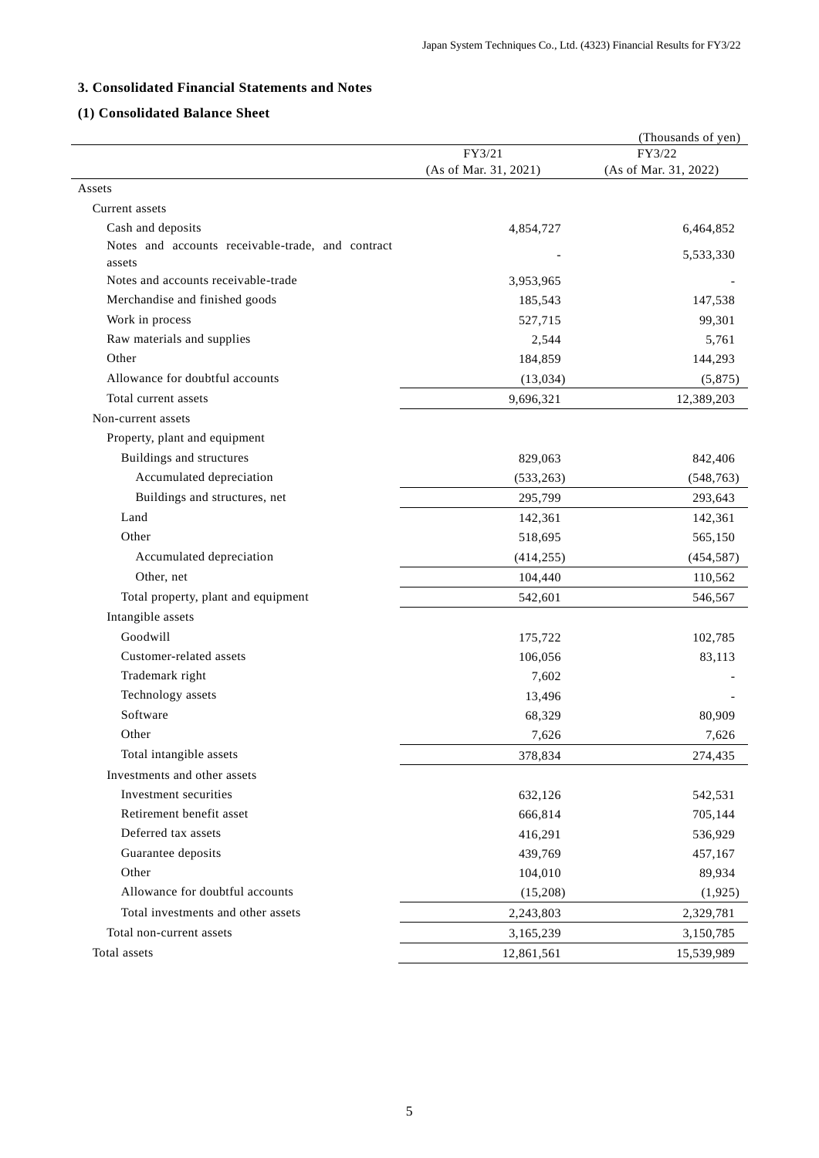# **3. Consolidated Financial Statements and Notes**

# **(1) Consolidated Balance Sheet**

|                                                                        |                       | (Thousands of yen)    |
|------------------------------------------------------------------------|-----------------------|-----------------------|
|                                                                        | FY3/21                | FY3/22                |
|                                                                        | (As of Mar. 31, 2021) | (As of Mar. 31, 2022) |
| Assets                                                                 |                       |                       |
| Current assets                                                         |                       |                       |
| Cash and deposits<br>Notes and accounts receivable-trade, and contract | 4,854,727             | 6,464,852             |
| assets                                                                 |                       | 5,533,330             |
| Notes and accounts receivable-trade                                    | 3,953,965             |                       |
| Merchandise and finished goods                                         | 185,543               | 147,538               |
| Work in process                                                        | 527,715               | 99,301                |
| Raw materials and supplies                                             | 2,544                 | 5,761                 |
| Other                                                                  | 184,859               | 144,293               |
| Allowance for doubtful accounts                                        | (13, 034)             | (5,875)               |
| Total current assets                                                   | 9,696,321             | 12,389,203            |
| Non-current assets                                                     |                       |                       |
| Property, plant and equipment                                          |                       |                       |
| Buildings and structures                                               | 829,063               | 842,406               |
| Accumulated depreciation                                               | (533, 263)            | (548, 763)            |
| Buildings and structures, net                                          | 295,799               | 293,643               |
| Land                                                                   | 142,361               | 142,361               |
| Other                                                                  | 518,695               | 565,150               |
| Accumulated depreciation                                               | (414, 255)            | (454, 587)            |
| Other, net                                                             | 104,440               | 110,562               |
| Total property, plant and equipment                                    | 542,601               | 546,567               |
| Intangible assets                                                      |                       |                       |
| Goodwill                                                               | 175,722               | 102,785               |
| Customer-related assets                                                | 106,056               | 83,113                |
| Trademark right                                                        | 7,602                 |                       |
| Technology assets                                                      | 13,496                |                       |
| Software                                                               | 68,329                | 80,909                |
| Other                                                                  | 7,626                 | 7,626                 |
| Total intangible assets                                                | 378,834               | 274,435               |
| Investments and other assets                                           |                       |                       |
| Investment securities                                                  | 632,126               | 542,531               |
| Retirement benefit asset                                               | 666,814               | 705,144               |
| Deferred tax assets                                                    | 416,291               | 536,929               |
| Guarantee deposits                                                     | 439,769               | 457,167               |
| Other                                                                  | 104,010               | 89,934                |
| Allowance for doubtful accounts                                        | (15,208)              | (1, 925)              |
| Total investments and other assets                                     | 2,243,803             | 2,329,781             |
| Total non-current assets                                               | 3,165,239             | 3,150,785             |
| Total assets                                                           | 12,861,561            | 15,539,989            |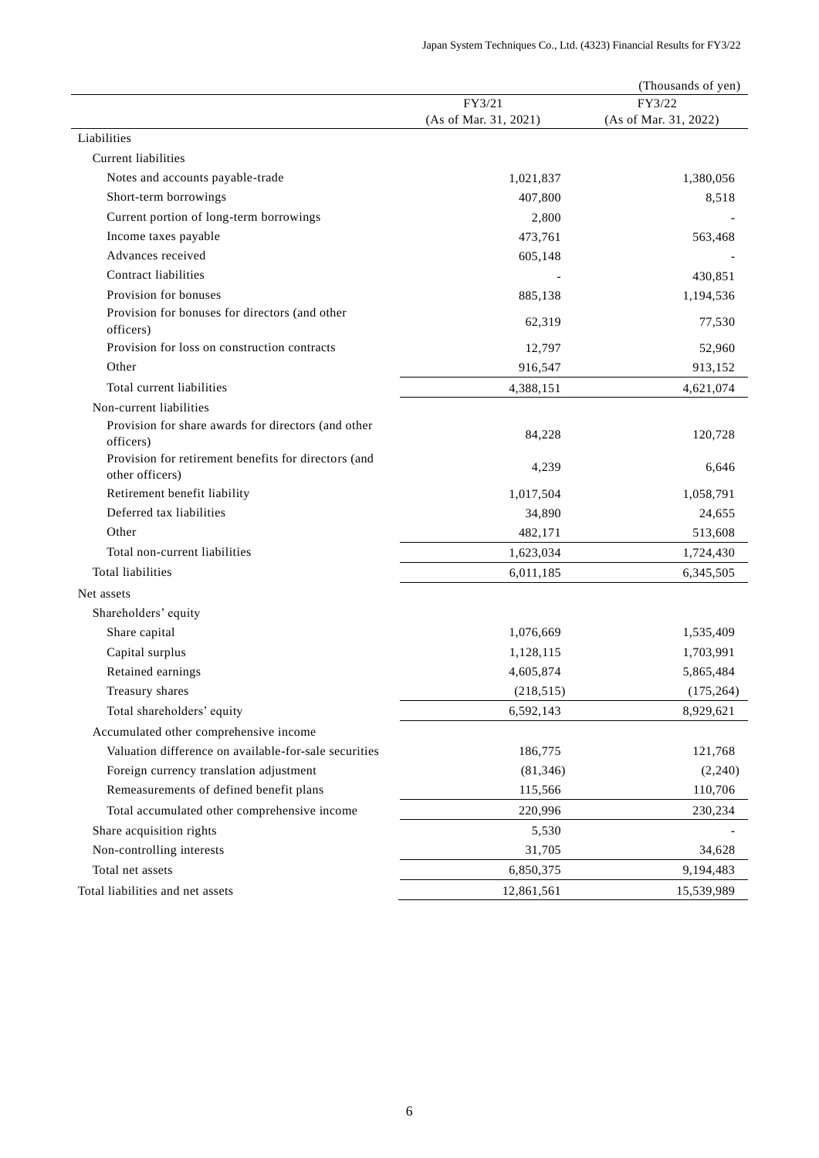| FY3/22<br>FY3/21<br>(As of Mar. 31, 2021)<br>(As of Mar. 31, 2022)<br>Liabilities         |
|-------------------------------------------------------------------------------------------|
|                                                                                           |
|                                                                                           |
|                                                                                           |
| <b>Current liabilities</b>                                                                |
| Notes and accounts payable-trade<br>1,380,056<br>1,021,837                                |
| Short-term borrowings<br>407,800<br>8,518                                                 |
| Current portion of long-term borrowings<br>2,800                                          |
| Income taxes payable<br>473,761<br>563,468                                                |
| Advances received<br>605,148                                                              |
| Contract liabilities<br>430,851                                                           |
| Provision for bonuses<br>885,138<br>1,194,536                                             |
| Provision for bonuses for directors (and other<br>62,319<br>77,530                        |
| officers)<br>Provision for loss on construction contracts                                 |
| 12,797<br>52,960<br>Other                                                                 |
| 916,547<br>913,152                                                                        |
| Total current liabilities<br>4,388,151<br>4,621,074                                       |
| Non-current liabilities                                                                   |
| Provision for share awards for directors (and other<br>84,228<br>120,728<br>officers)     |
| Provision for retirement benefits for directors (and<br>4,239<br>6,646<br>other officers) |
| Retirement benefit liability<br>1,017,504<br>1,058,791                                    |
| Deferred tax liabilities<br>34,890<br>24,655                                              |
| Other<br>482,171<br>513,608                                                               |
| Total non-current liabilities<br>1,623,034<br>1,724,430                                   |
| Total liabilities<br>6,011,185<br>6,345,505                                               |
| Net assets                                                                                |
| Shareholders' equity                                                                      |
| Share capital<br>1,076,669<br>1,535,409                                                   |
| Capital surplus<br>1,703,991<br>1,128,115                                                 |
| Retained earnings<br>4,605,874<br>5,865,484                                               |
| Treasury shares<br>(218, 515)<br>(175, 264)                                               |
| Total shareholders' equity<br>6,592,143<br>8,929,621                                      |
| Accumulated other comprehensive income                                                    |
| Valuation difference on available-for-sale securities<br>121,768<br>186,775               |
| Foreign currency translation adjustment<br>(81, 346)<br>(2,240)                           |
| Remeasurements of defined benefit plans<br>115,566<br>110,706                             |
| 220,996<br>Total accumulated other comprehensive income<br>230,234                        |
| Share acquisition rights<br>5,530                                                         |
| Non-controlling interests<br>31,705<br>34,628                                             |
| Total net assets<br>9,194,483<br>6,850,375                                                |
| Total liabilities and net assets<br>12,861,561<br>15,539,989                              |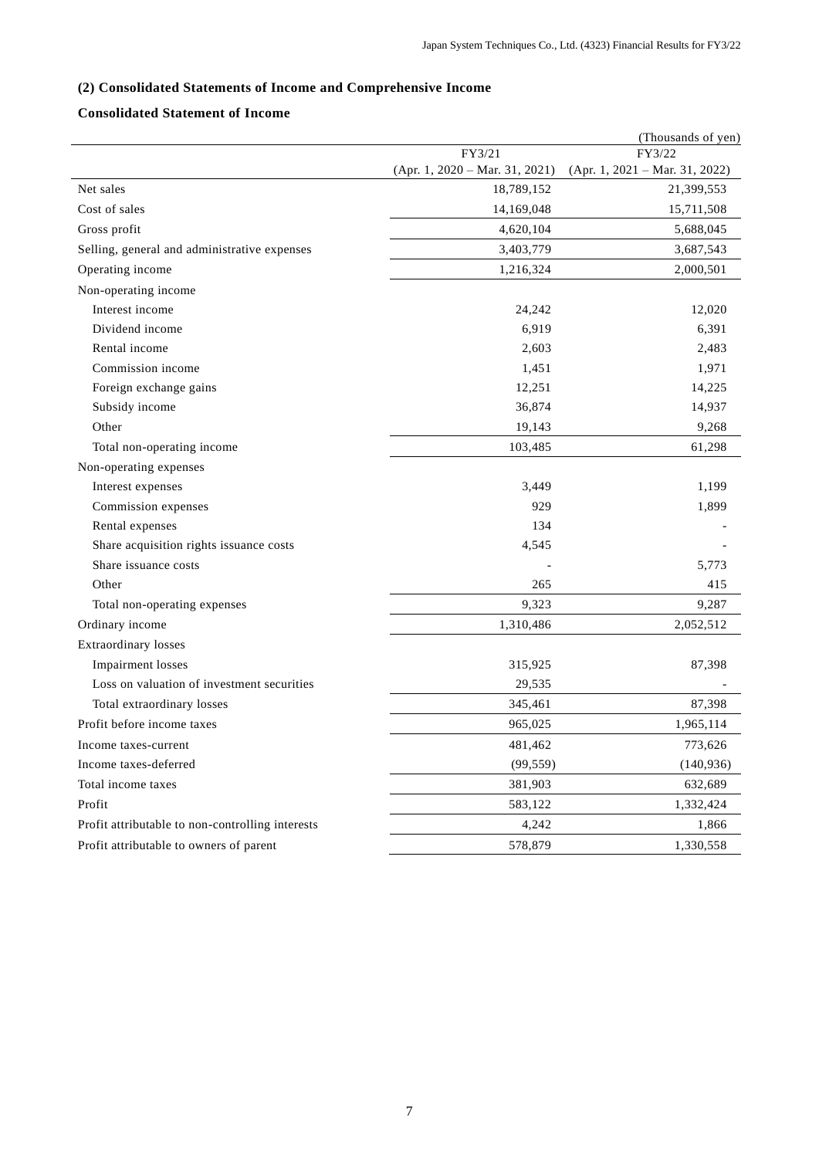# **(2) Consolidated Statements of Income and Comprehensive Income**

# **Consolidated Statement of Income**

|                                                  |                                  | (Thousands of yen)               |
|--------------------------------------------------|----------------------------------|----------------------------------|
|                                                  | FY3/21                           | FY3/22                           |
|                                                  | $(Apr. 1, 2020 - Mar. 31, 2021)$ | $(Apr. 1, 2021 - Mar. 31, 2022)$ |
| Net sales                                        | 18,789,152                       | 21,399,553                       |
| Cost of sales                                    | 14,169,048                       | 15,711,508                       |
| Gross profit                                     | 4,620,104                        | 5,688,045                        |
| Selling, general and administrative expenses     | 3,403,779                        | 3,687,543                        |
| Operating income                                 | 1,216,324                        | 2,000,501                        |
| Non-operating income                             |                                  |                                  |
| Interest income                                  | 24,242                           | 12,020                           |
| Dividend income                                  | 6,919                            | 6,391                            |
| Rental income                                    | 2,603                            | 2,483                            |
| Commission income                                | 1,451                            | 1,971                            |
| Foreign exchange gains                           | 12,251                           | 14,225                           |
| Subsidy income                                   | 36,874                           | 14,937                           |
| Other                                            | 19,143                           | 9,268                            |
| Total non-operating income                       | 103,485                          | 61,298                           |
| Non-operating expenses                           |                                  |                                  |
| Interest expenses                                | 3,449                            | 1,199                            |
| Commission expenses                              | 929                              | 1,899                            |
| Rental expenses                                  | 134                              |                                  |
| Share acquisition rights issuance costs          | 4,545                            |                                  |
| Share issuance costs                             |                                  | 5,773                            |
| Other                                            | 265                              | 415                              |
| Total non-operating expenses                     | 9,323                            | 9,287                            |
| Ordinary income                                  | 1,310,486                        | 2,052,512                        |
| <b>Extraordinary</b> losses                      |                                  |                                  |
| <b>Impairment</b> losses                         | 315,925                          | 87,398                           |
| Loss on valuation of investment securities       | 29,535                           |                                  |
| Total extraordinary losses                       | 345,461                          | 87,398                           |
| Profit before income taxes                       | 965,025                          | 1,965,114                        |
| Income taxes-current                             | 481,462                          | 773,626                          |
| Income taxes-deferred                            | (99, 559)                        | (140, 936)                       |
| Total income taxes                               | 381,903                          | 632,689                          |
| Profit                                           | 583,122                          | 1,332,424                        |
| Profit attributable to non-controlling interests | 4,242                            | 1,866                            |
| Profit attributable to owners of parent          | 578,879                          | 1,330,558                        |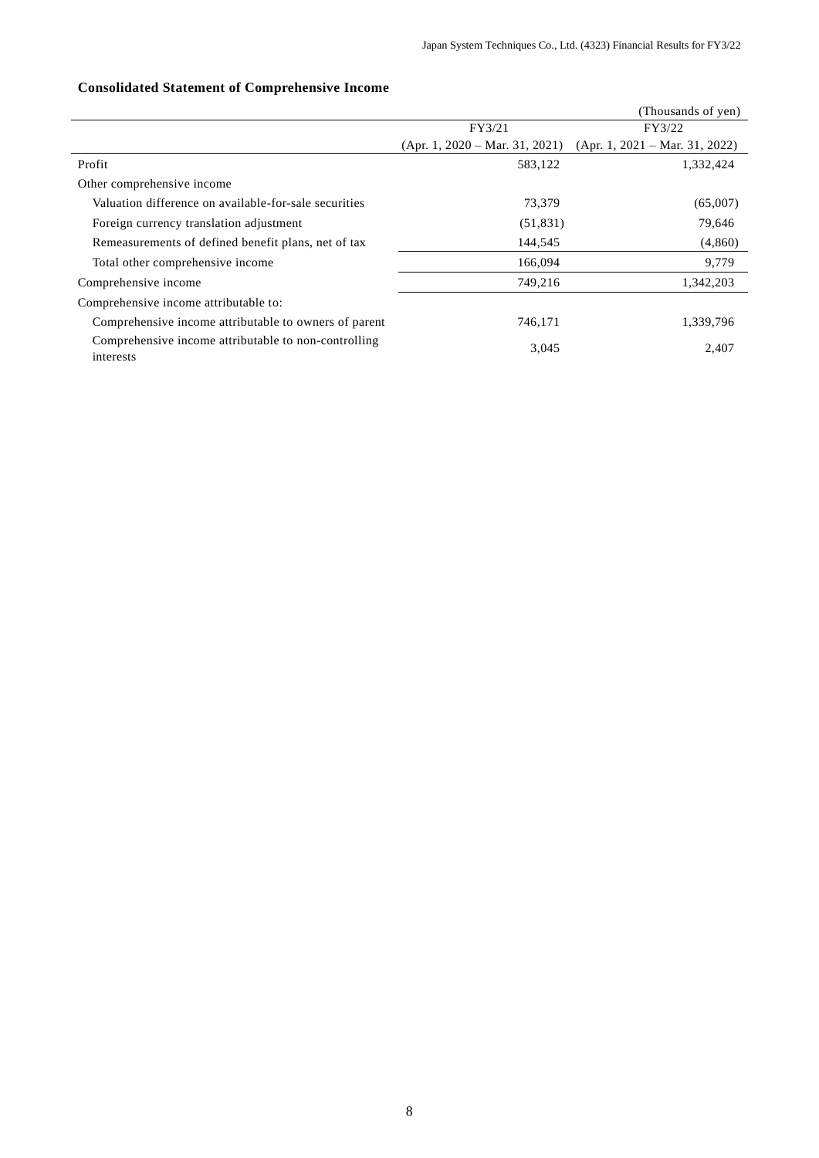|                                                                   |                                  | (Thousands of yen)               |
|-------------------------------------------------------------------|----------------------------------|----------------------------------|
|                                                                   | FY3/21                           | FY3/22                           |
|                                                                   | $(Apr. 1, 2020 - Mar. 31, 2021)$ | $(Apr. 1, 2021 - Mar. 31, 2022)$ |
| Profit                                                            | 583,122                          | 1,332,424                        |
| Other comprehensive income                                        |                                  |                                  |
| Valuation difference on available-for-sale securities             | 73,379                           | (65,007)                         |
| Foreign currency translation adjustment                           | (51, 831)                        | 79,646                           |
| Remeasurements of defined benefit plans, net of tax               | 144,545                          | (4,860)                          |
| Total other comprehensive income                                  | 166,094                          | 9,779                            |
| Comprehensive income                                              | 749,216                          | 1,342,203                        |
| Comprehensive income attributable to:                             |                                  |                                  |
| Comprehensive income attributable to owners of parent             | 746,171                          | 1,339,796                        |
| Comprehensive income attributable to non-controlling<br>interests | 3,045                            | 2,407                            |

# **Consolidated Statement of Comprehensive Income**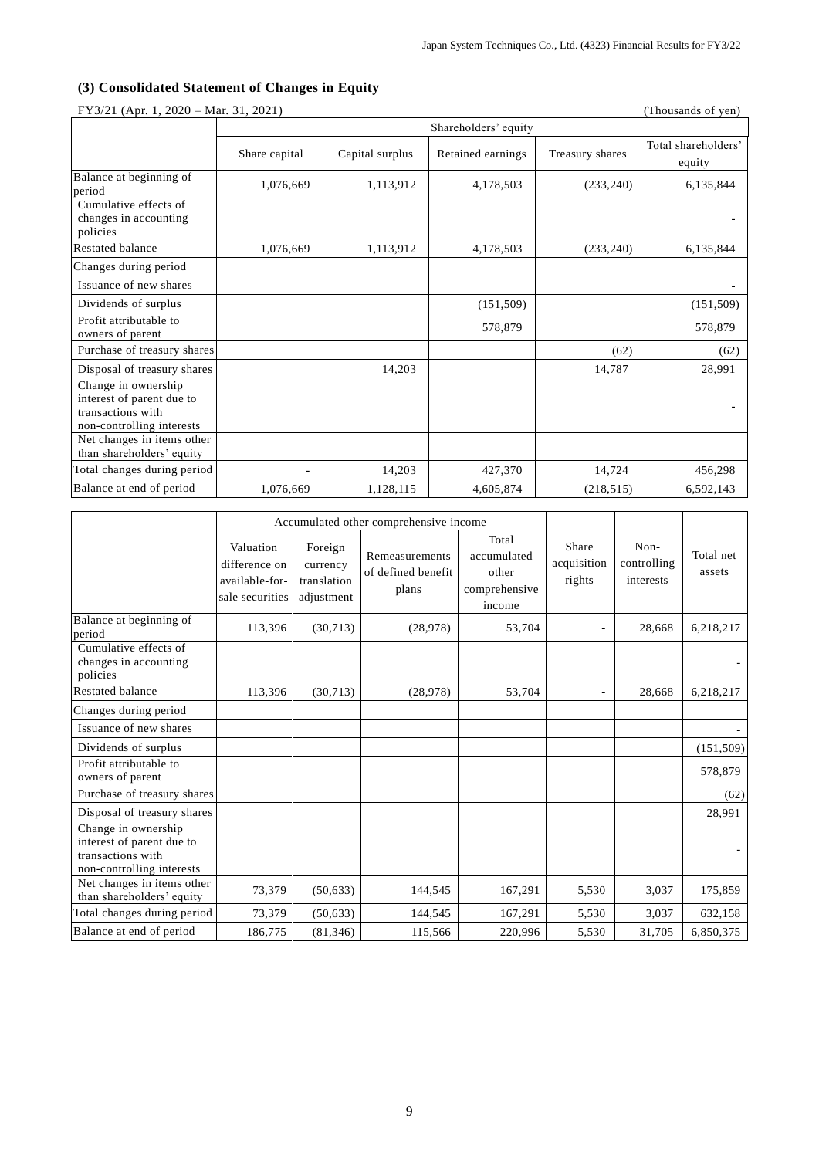# **(3) Consolidated Statement of Changes in Equity**

|                                                                                                    | FY3/21 (Apr. 1, 2020 – Mar. 31, 2021)<br>(Thousands of yen) |                      |                   |                 |                               |  |  |  |  |  |
|----------------------------------------------------------------------------------------------------|-------------------------------------------------------------|----------------------|-------------------|-----------------|-------------------------------|--|--|--|--|--|
|                                                                                                    |                                                             | Shareholders' equity |                   |                 |                               |  |  |  |  |  |
|                                                                                                    | Share capital                                               | Capital surplus      | Retained earnings | Treasury shares | Total shareholders'<br>equity |  |  |  |  |  |
| Balance at beginning of<br>period                                                                  | 1,076,669                                                   | 1,113,912            | 4,178,503         | (233, 240)      | 6,135,844                     |  |  |  |  |  |
| Cumulative effects of<br>changes in accounting<br>policies                                         |                                                             |                      |                   |                 |                               |  |  |  |  |  |
| Restated balance                                                                                   | 1,076,669                                                   | 1,113,912            | 4,178,503         | (233, 240)      | 6,135,844                     |  |  |  |  |  |
| Changes during period                                                                              |                                                             |                      |                   |                 |                               |  |  |  |  |  |
| Issuance of new shares                                                                             |                                                             |                      |                   |                 |                               |  |  |  |  |  |
| Dividends of surplus                                                                               |                                                             |                      | (151, 509)        |                 | (151, 509)                    |  |  |  |  |  |
| Profit attributable to<br>owners of parent                                                         |                                                             |                      | 578,879           |                 | 578,879                       |  |  |  |  |  |
| Purchase of treasury shares                                                                        |                                                             |                      |                   | (62)            | (62)                          |  |  |  |  |  |
| Disposal of treasury shares                                                                        |                                                             | 14,203               |                   | 14,787          | 28,991                        |  |  |  |  |  |
| Change in ownership<br>interest of parent due to<br>transactions with<br>non-controlling interests |                                                             |                      |                   |                 |                               |  |  |  |  |  |
| Net changes in items other<br>than shareholders' equity                                            |                                                             |                      |                   |                 |                               |  |  |  |  |  |
| Total changes during period                                                                        | ÷.                                                          | 14,203               | 427,370           | 14,724          | 456,298                       |  |  |  |  |  |
| Balance at end of period                                                                           | 1,076,669                                                   | 1,128,115            | 4,605,874         | (218, 515)      | 6,592,143                     |  |  |  |  |  |

 $FY^{2/21}$  (Apr. 1, 2020) – Mar. 31, 2021)

|                                                                                                    |                                                                 |                                                  | Accumulated other comprehensive income        |                                                          |                                |                                  |                     |
|----------------------------------------------------------------------------------------------------|-----------------------------------------------------------------|--------------------------------------------------|-----------------------------------------------|----------------------------------------------------------|--------------------------------|----------------------------------|---------------------|
|                                                                                                    | Valuation<br>difference on<br>available-for-<br>sale securities | Foreign<br>currency<br>translation<br>adjustment | Remeasurements<br>of defined benefit<br>plans | Total<br>accumulated<br>other<br>comprehensive<br>income | Share<br>acquisition<br>rights | Non-<br>controlling<br>interests | Total net<br>assets |
| Balance at beginning of<br>period                                                                  | 113,396                                                         | (30,713)                                         | (28,978)                                      | 53,704                                                   |                                | 28,668                           | 6,218,217           |
| Cumulative effects of<br>changes in accounting<br>policies                                         |                                                                 |                                                  |                                               |                                                          |                                |                                  |                     |
| <b>Restated balance</b>                                                                            | 113,396                                                         | (30,713)                                         | (28,978)                                      | 53,704                                                   |                                | 28,668                           | 6,218,217           |
| Changes during period                                                                              |                                                                 |                                                  |                                               |                                                          |                                |                                  |                     |
| Issuance of new shares                                                                             |                                                                 |                                                  |                                               |                                                          |                                |                                  |                     |
| Dividends of surplus                                                                               |                                                                 |                                                  |                                               |                                                          |                                |                                  | (151, 509)          |
| Profit attributable to<br>owners of parent                                                         |                                                                 |                                                  |                                               |                                                          |                                |                                  | 578,879             |
| Purchase of treasury shares                                                                        |                                                                 |                                                  |                                               |                                                          |                                |                                  | (62)                |
| Disposal of treasury shares                                                                        |                                                                 |                                                  |                                               |                                                          |                                |                                  | 28,991              |
| Change in ownership<br>interest of parent due to<br>transactions with<br>non-controlling interests |                                                                 |                                                  |                                               |                                                          |                                |                                  |                     |
| Net changes in items other<br>than shareholders' equity                                            | 73,379                                                          | (50, 633)                                        | 144,545                                       | 167,291                                                  | 5,530                          | 3,037                            | 175,859             |
| Total changes during period                                                                        | 73,379                                                          | (50, 633)                                        | 144,545                                       | 167,291                                                  | 5,530                          | 3,037                            | 632,158             |
| Balance at end of period                                                                           | 186,775                                                         | (81, 346)                                        | 115,566                                       | 220,996                                                  | 5,530                          | 31,705                           | 6,850,375           |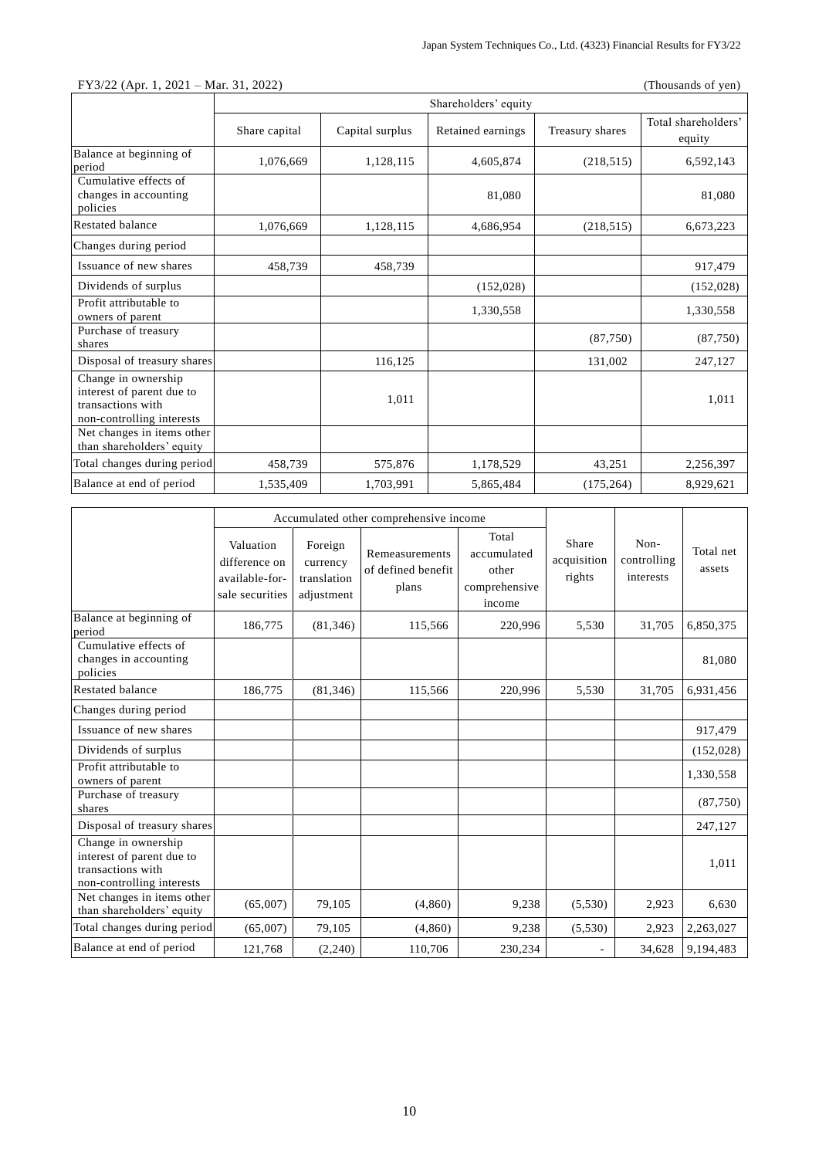|                                                                                                    | $FY3/22$ (Apr. 1, 2021 – Mar. 31, 2022)<br>(Thousands of yen) |                 |                      |                 |                               |  |  |
|----------------------------------------------------------------------------------------------------|---------------------------------------------------------------|-----------------|----------------------|-----------------|-------------------------------|--|--|
|                                                                                                    |                                                               |                 | Shareholders' equity |                 |                               |  |  |
|                                                                                                    | Share capital                                                 | Capital surplus | Retained earnings    | Treasury shares | Total shareholders'<br>equity |  |  |
| Balance at beginning of<br>period                                                                  | 1,076,669                                                     | 1,128,115       | 4,605,874            | (218, 515)      | 6,592,143                     |  |  |
| Cumulative effects of<br>changes in accounting<br>policies                                         |                                                               |                 | 81,080               |                 | 81,080                        |  |  |
| <b>Restated balance</b>                                                                            | 1,076,669                                                     | 1,128,115       | 4,686,954            | (218, 515)      | 6,673,223                     |  |  |
| Changes during period                                                                              |                                                               |                 |                      |                 |                               |  |  |
| Issuance of new shares                                                                             | 458,739                                                       | 458,739         |                      |                 | 917,479                       |  |  |
| Dividends of surplus                                                                               |                                                               |                 | (152, 028)           |                 | (152, 028)                    |  |  |
| Profit attributable to<br>owners of parent                                                         |                                                               |                 | 1,330,558            |                 | 1,330,558                     |  |  |
| Purchase of treasury<br>shares                                                                     |                                                               |                 |                      | (87,750)        | (87,750)                      |  |  |
| Disposal of treasury shares                                                                        |                                                               | 116,125         |                      | 131,002         | 247,127                       |  |  |
| Change in ownership<br>interest of parent due to<br>transactions with<br>non-controlling interests |                                                               | 1,011           |                      |                 | 1,011                         |  |  |
| Net changes in items other<br>than shareholders' equity                                            |                                                               |                 |                      |                 |                               |  |  |
| Total changes during period                                                                        | 458,739                                                       | 575,876         | 1,178,529            | 43,251          | 2,256,397                     |  |  |
| Balance at end of period                                                                           | 1,535,409                                                     | 1,703,991       | 5,865,484            | (175, 264)      | 8,929,621                     |  |  |

|                                                                                                    |                                                                 |                                                  | Accumulated other comprehensive income        |                                                          |                                |                                  |                     |
|----------------------------------------------------------------------------------------------------|-----------------------------------------------------------------|--------------------------------------------------|-----------------------------------------------|----------------------------------------------------------|--------------------------------|----------------------------------|---------------------|
|                                                                                                    | Valuation<br>difference on<br>available-for-<br>sale securities | Foreign<br>currency<br>translation<br>adjustment | Remeasurements<br>of defined benefit<br>plans | Total<br>accumulated<br>other<br>comprehensive<br>income | Share<br>acquisition<br>rights | Non-<br>controlling<br>interests | Total net<br>assets |
| Balance at beginning of<br>period                                                                  | 186,775                                                         | (81, 346)                                        | 115,566                                       | 220,996                                                  | 5,530                          | 31,705                           | 6,850,375           |
| Cumulative effects of<br>changes in accounting<br>policies                                         |                                                                 |                                                  |                                               |                                                          |                                |                                  | 81,080              |
| Restated balance                                                                                   | 186,775                                                         | (81, 346)                                        | 115,566                                       | 220,996                                                  | 5,530                          | 31,705                           | 6,931,456           |
| Changes during period                                                                              |                                                                 |                                                  |                                               |                                                          |                                |                                  |                     |
| Issuance of new shares                                                                             |                                                                 |                                                  |                                               |                                                          |                                |                                  | 917,479             |
| Dividends of surplus                                                                               |                                                                 |                                                  |                                               |                                                          |                                |                                  | (152, 028)          |
| Profit attributable to<br>owners of parent                                                         |                                                                 |                                                  |                                               |                                                          |                                |                                  | 1,330,558           |
| Purchase of treasury<br>shares                                                                     |                                                                 |                                                  |                                               |                                                          |                                |                                  | (87,750)            |
| Disposal of treasury shares                                                                        |                                                                 |                                                  |                                               |                                                          |                                |                                  | 247,127             |
| Change in ownership<br>interest of parent due to<br>transactions with<br>non-controlling interests |                                                                 |                                                  |                                               |                                                          |                                |                                  | 1,011               |
| Net changes in items other<br>than shareholders' equity                                            | (65,007)                                                        | 79,105                                           | (4,860)                                       | 9,238                                                    | (5,530)                        | 2,923                            | 6,630               |
| Total changes during period                                                                        | (65,007)                                                        | 79,105                                           | (4,860)                                       | 9,238                                                    | (5,530)                        | 2,923                            | 2,263,027           |
| Balance at end of period                                                                           | 121,768                                                         | (2,240)                                          | 110,706                                       | 230,234                                                  |                                | 34,628                           | 9,194,483           |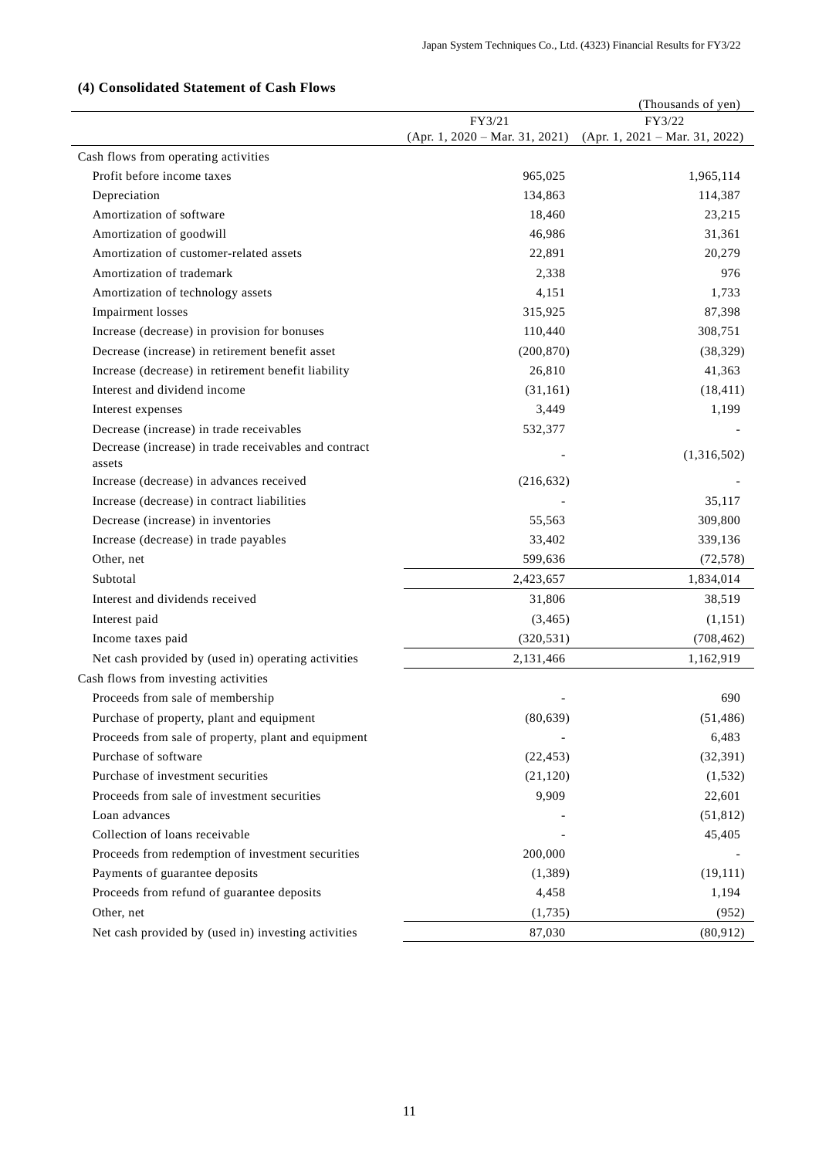# (Thousands of yen) FY3/21 (Apr. 1, 2020 – Mar. 31, 2021) FY3/22 (Apr. 1, 2021 – Mar. 31, 2022) Cash flows from operating activities Profit before income taxes and the set of the set of the set of the set of the set of the set of the set of the set of the set of the set of the set of the set of the set of the set of the set of the set of the set of the Depreciation 114,387 114,387 Amortization of software 23,215 Amortization of goodwill and the set of the set of the set of the set of the set of the set of the set of the set of the set of the set of the set of the set of the set of the set of the set of the set of the set of the se Amortization of customer-related assets 22,891 20,279 Amortization of trademark 2,338 976 Amortization of technology assets 4,151 1,733 Impairment losses 315,925 87,398 Increase (decrease) in provision for bonuses 110,440 308,751 Decrease (increase) in retirement benefit asset (200,870) (38,329) Increase (decrease) in retirement benefit liability 26,810 41,363 Interest and dividend income (31,161) (18,411) (18,411) Interest expenses  $3,449$  1,199 Decrease (increase) in trade receivables 532,377 Decrease (increase) in trade receivables and contract assets  $(1,316,502)$ Increase (decrease) in advances received (216,632) Increase (decrease) in contract liabilities and the set of the set of the set of the set of the set of the set of the set of the set of the set of the set of the set of the set of the set of the set of the set of the set o Decrease (increase) in inventories 55,563 309,800 Increase (decrease) in trade payables 33,402 339,136 Other, net (72,578) (399,636 (72,578) Subtotal 2,423,657 1,834,014 Interest and dividends received 31,806 38,519 Interest paid  $(3,465)$  (1,151) Income taxes paid (320,531) (708,462) Net cash provided by (used in) operating activities 2,131,466 2,131,466 1,162,919 Cash flows from investing activities Proceeds from sale of membership 690 Purchase of property, plant and equipment (80,639) (51,486) Proceeds from sale of property, plant and equipment **-** 6,483 Purchase of software (22,453) (32,391) Purchase of investment securities (21,120) (1,532) Proceeds from sale of investment securities 8,909 9,909 22,601 Loan advances (51,812) Collection of loans receivable - 45,405 Proceeds from redemption of investment securities 200,000 Payments of guarantee deposits (1,389) (19,111) Proceeds from refund of guarantee deposits 4,458 1,194 Other, net  $(1,735)$  (952) Net cash provided by (used in) investing activities 87,030 (80,912)

## **(4) Consolidated Statement of Cash Flows**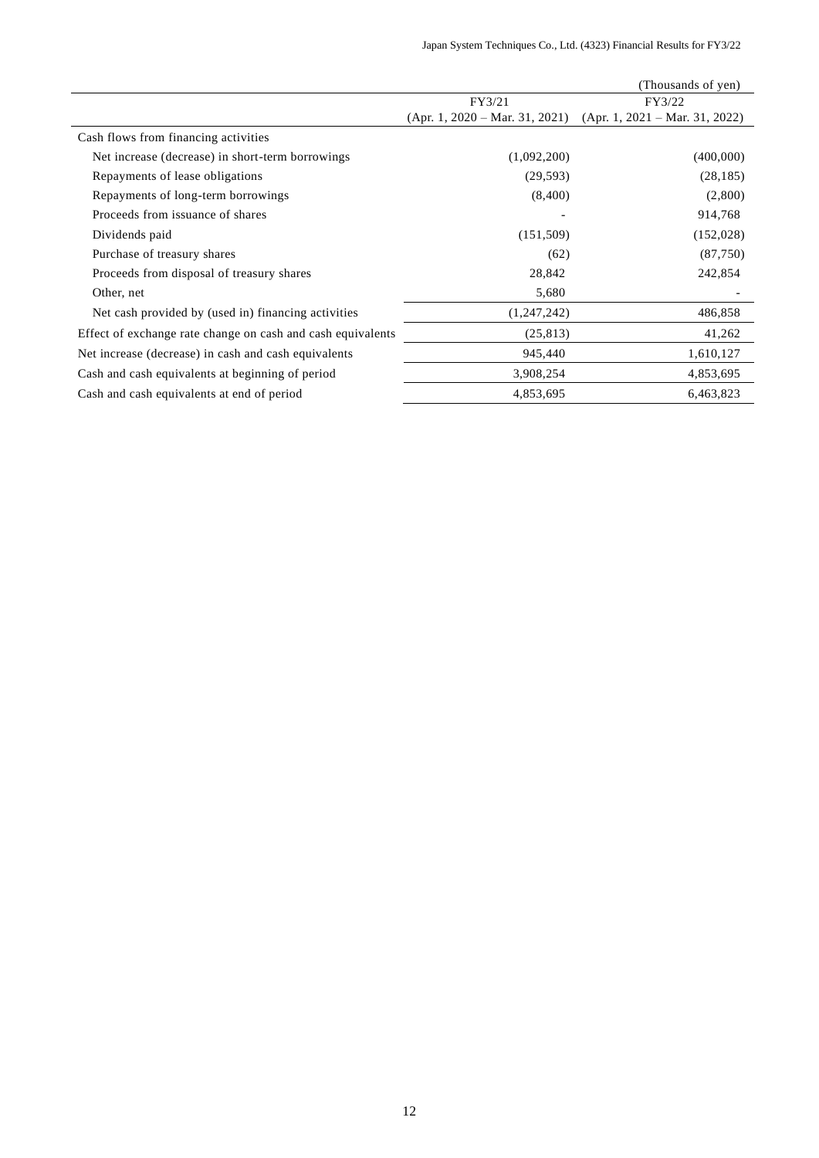|                                                             |                                  | (Thousands of yen)               |
|-------------------------------------------------------------|----------------------------------|----------------------------------|
|                                                             | FY3/21                           | FY3/22                           |
|                                                             | $(Apr. 1, 2020 - Mar. 31, 2021)$ | $(Apr. 1, 2021 - Mar. 31, 2022)$ |
| Cash flows from financing activities                        |                                  |                                  |
| Net increase (decrease) in short-term borrowings            | (1,092,200)                      | (400,000)                        |
| Repayments of lease obligations                             | (29, 593)                        | (28, 185)                        |
| Repayments of long-term borrowings                          | (8,400)                          | (2,800)                          |
| Proceeds from issuance of shares                            |                                  | 914,768                          |
| Dividends paid                                              | (151,509)                        | (152,028)                        |
| Purchase of treasury shares                                 | (62)                             | (87,750)                         |
| Proceeds from disposal of treasury shares                   | 28,842                           | 242,854                          |
| Other, net                                                  | 5,680                            |                                  |
| Net cash provided by (used in) financing activities         | (1,247,242)                      | 486,858                          |
| Effect of exchange rate change on cash and cash equivalents | (25, 813)                        | 41,262                           |
| Net increase (decrease) in cash and cash equivalents        | 945,440                          | 1,610,127                        |
| Cash and cash equivalents at beginning of period            | 3,908,254                        | 4,853,695                        |
| Cash and cash equivalents at end of period                  | 4,853,695                        | 6,463,823                        |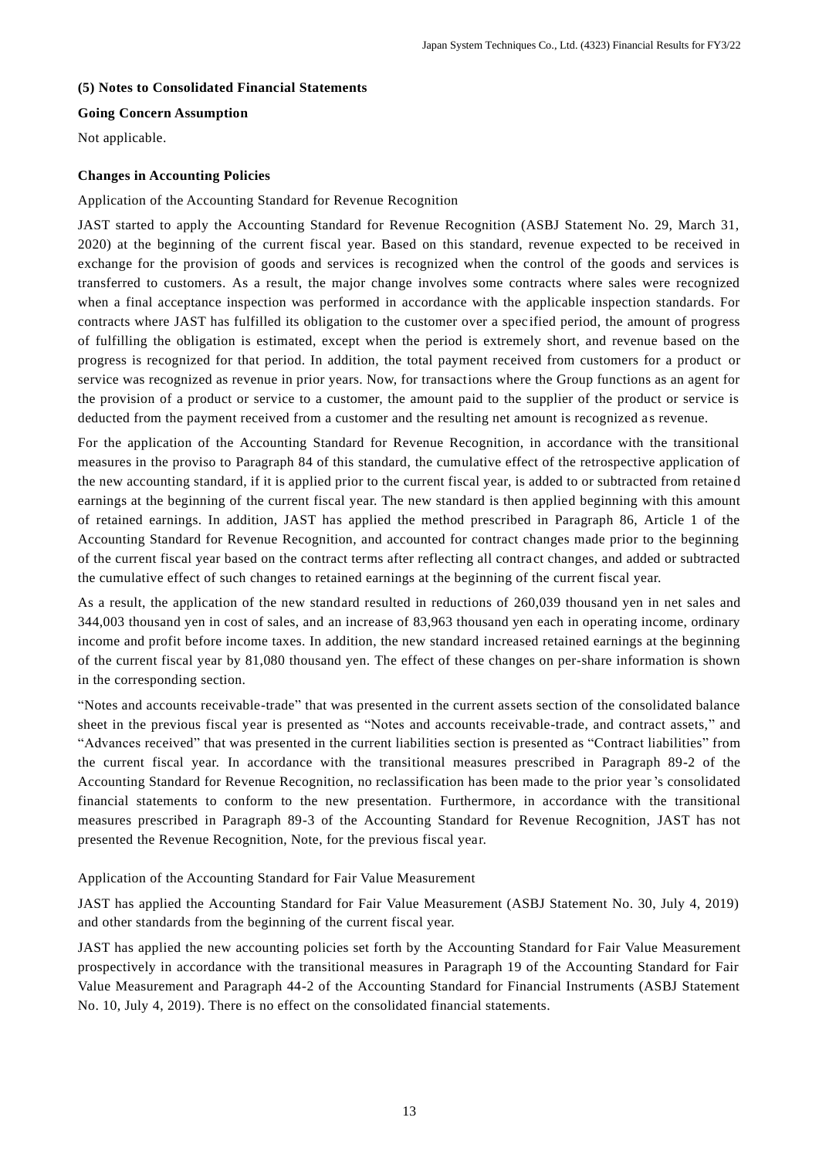## **(5) Notes to Consolidated Financial Statements**

## **Going Concern Assumption**

Not applicable.

## **Changes in Accounting Policies**

## Application of the Accounting Standard for Revenue Recognition

JAST started to apply the Accounting Standard for Revenue Recognition (ASBJ Statement No. 29, March 31, 2020) at the beginning of the current fiscal year. Based on this standard, revenue expected to be received in exchange for the provision of goods and services is recognized when the control of the goods and services is transferred to customers. As a result, the major change involves some contracts where sales were recognized when a final acceptance inspection was performed in accordance with the applicable inspection standards. For contracts where JAST has fulfilled its obligation to the customer over a spec ified period, the amount of progress of fulfilling the obligation is estimated, except when the period is extremely short, and revenue based on the progress is recognized for that period. In addition, the total payment received from customers for a product or service was recognized as revenue in prior years. Now, for transactions where the Group functions as an agent for the provision of a product or service to a customer, the amount paid to the supplier of the product or service is deducted from the payment received from a customer and the resulting net amount is recognized as revenue.

For the application of the Accounting Standard for Revenue Recognition, in accordance with the transitional measures in the proviso to Paragraph 84 of this standard, the cumulative effect of the retrospective application of the new accounting standard, if it is applied prior to the current fiscal year, is added to or subtracted from retaine d earnings at the beginning of the current fiscal year. The new standard is then applied beginning with this amount of retained earnings. In addition, JAST has applied the method prescribed in Paragraph 86, Article 1 of the Accounting Standard for Revenue Recognition, and accounted for contract changes made prior to the beginning of the current fiscal year based on the contract terms after reflecting all contract changes, and added or subtracted the cumulative effect of such changes to retained earnings at the beginning of the current fiscal year.

As a result, the application of the new standard resulted in reductions of 260,039 thousand yen in net sales and 344,003 thousand yen in cost of sales, and an increase of 83,963 thousand yen each in operating income, ordinary income and profit before income taxes. In addition, the new standard increased retained earnings at the beginning of the current fiscal year by 81,080 thousand yen. The effect of these changes on per-share information is shown in the corresponding section.

"Notes and accounts receivable-trade" that was presented in the current assets section of the consolidated balance sheet in the previous fiscal year is presented as "Notes and accounts receivable-trade, and contract assets," and "Advances received" that was presented in the current liabilities section is presented as "Contract liabilities" from the current fiscal year. In accordance with the transitional measures prescribed in Paragraph 89-2 of the Accounting Standard for Revenue Recognition, no reclassification has been made to the prior year 's consolidated financial statements to conform to the new presentation. Furthermore, in accordance with the transitional measures prescribed in Paragraph 89-3 of the Accounting Standard for Revenue Recognition, JAST has not presented the Revenue Recognition, Note, for the previous fiscal year.

Application of the Accounting Standard for Fair Value Measurement

JAST has applied the Accounting Standard for Fair Value Measurement (ASBJ Statement No. 30, July 4, 2019) and other standards from the beginning of the current fiscal year.

JAST has applied the new accounting policies set forth by the Accounting Standard for Fair Value Measurement prospectively in accordance with the transitional measures in Paragraph 19 of the Accounting Standard for Fair Value Measurement and Paragraph 44-2 of the Accounting Standard for Financial Instruments (ASBJ Statement No. 10, July 4, 2019). There is no effect on the consolidated financial statements.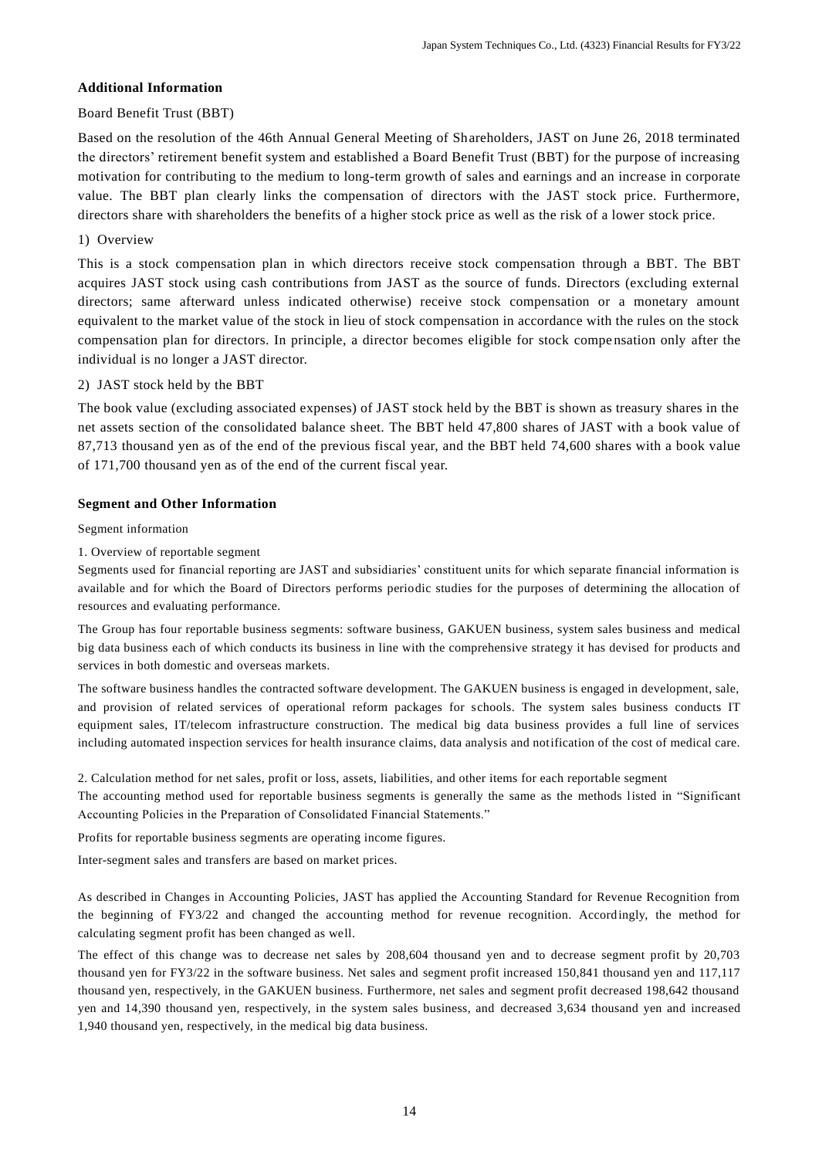# **Additional Information**

# Board Benefit Trust (BBT)

Based on the resolution of the 46th Annual General Meeting of Shareholders, JAST on June 26, 2018 terminated the directors' retirement benefit system and established a Board Benefit Trust (BBT) for the purpose of increasing motivation for contributing to the medium to long-term growth of sales and earnings and an increase in corporate value. The BBT plan clearly links the compensation of directors with the JAST stock price. Furthermore, directors share with shareholders the benefits of a higher stock price as well as the risk of a lower stock price.

## 1) Overview

This is a stock compensation plan in which directors receive stock compensation through a BBT. The BBT acquires JAST stock using cash contributions from JAST as the source of funds. Directors (excluding external directors; same afterward unless indicated otherwise) receive stock compensation or a monetary amount equivalent to the market value of the stock in lieu of stock compensation in accordance with the rules on the stock compensation plan for directors. In principle, a director becomes eligible for stock compe nsation only after the individual is no longer a JAST director.

# 2) JAST stock held by the BBT

The book value (excluding associated expenses) of JAST stock held by the BBT is shown as treasury shares in the net assets section of the consolidated balance sheet. The BBT held 47,800 shares of JAST with a book value of 87,713 thousand yen as of the end of the previous fiscal year, and the BBT held 74,600 shares with a book value of 171,700 thousand yen as of the end of the current fiscal year.

## **Segment and Other Information**

## Segment information

1. Overview of reportable segment

Segments used for financial reporting are JAST and subsidiaries' constituent units for which separate financial information is available and for which the Board of Directors performs periodic studies for the purposes of determining the allocation of resources and evaluating performance.

The Group has four reportable business segments: software business, GAKUEN business, system sales business and medical big data business each of which conducts its business in line with the comprehensive strategy it has devised for products and services in both domestic and overseas markets.

The software business handles the contracted software development. The GAKUEN business is engaged in development, sale, and provision of related services of operational reform packages for schools. The system sales business conducts IT equipment sales, IT/telecom infrastructure construction. The medical big data business provides a full line of services including automated inspection services for health insurance claims, data analysis and notification of the cost of medical care.

2. Calculation method for net sales, profit or loss, assets, liabilities, and other items for each reportable segment

The accounting method used for reportable business segments is generally the same as the methods listed in "Significant Accounting Policies in the Preparation of Consolidated Financial Statements."

Profits for reportable business segments are operating income figures.

Inter-segment sales and transfers are based on market prices.

As described in Changes in Accounting Policies, JAST has applied the Accounting Standard for Revenue Recognition from the beginning of FY3/22 and changed the accounting method for revenue recognition. Accordingly, the method for calculating segment profit has been changed as well.

The effect of this change was to decrease net sales by 208,604 thousand yen and to decrease segment profit by 20,703 thousand yen for FY3/22 in the software business. Net sales and segment profit increased 150,841 thousand yen and 117,117 thousand yen, respectively, in the GAKUEN business. Furthermore, net sales and segment profit decreased 198,642 thousand yen and 14,390 thousand yen, respectively, in the system sales business, and decreased 3,634 thousand yen and increased 1,940 thousand yen, respectively, in the medical big data business.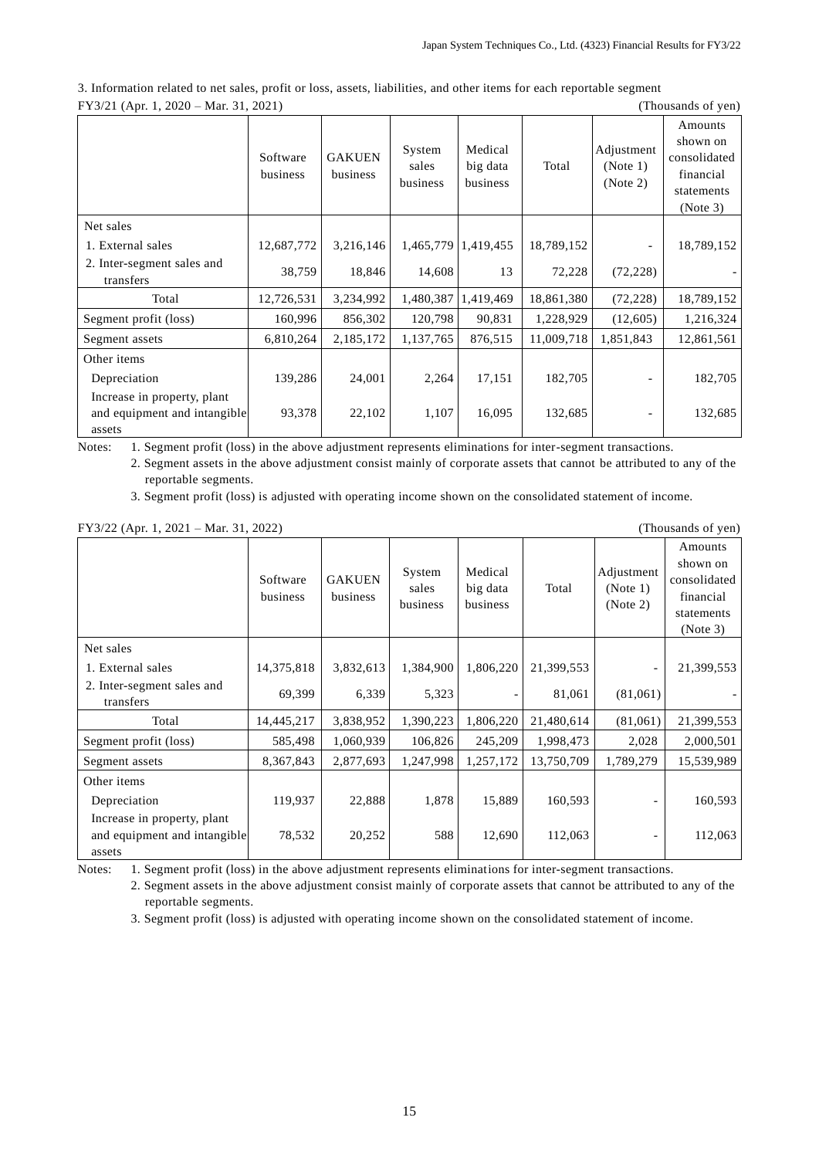|                                                             | Software<br>business | <b>GAKUEN</b><br>business | System<br>sales<br>business | Medical<br>big data<br>business | Total      | Adjustment<br>(Note 1)<br>(Note 2) | Amounts<br>shown on<br>consolidated<br>financial<br>statements<br>(Note 3) |  |
|-------------------------------------------------------------|----------------------|---------------------------|-----------------------------|---------------------------------|------------|------------------------------------|----------------------------------------------------------------------------|--|
| Net sales                                                   |                      |                           |                             |                                 |            |                                    |                                                                            |  |
| 1. External sales                                           | 12,687,772           | 3,216,146                 |                             | 1,465,779   1,419,455           | 18,789,152 | $\overline{\phantom{0}}$           | 18,789,152                                                                 |  |
| 2. Inter-segment sales and<br>transfers                     | 38,759               | 18,846                    | 14,608                      | 13                              | 72,228     | (72, 228)                          |                                                                            |  |
| Total                                                       | 12,726,531           | 3,234,992                 |                             | 1,480,387 1,419,469             | 18,861,380 | (72, 228)                          | 18,789,152                                                                 |  |
| Segment profit (loss)                                       | 160,996              | 856,302                   | 120,798                     | 90,831                          | 1,228,929  | (12,605)                           | 1,216,324                                                                  |  |
| Segment assets                                              | 6,810,264            | 2,185,172                 | 1,137,765                   | 876,515                         | 11,009,718 | 1,851,843                          | 12,861,561                                                                 |  |
| Other items                                                 |                      |                           |                             |                                 |            |                                    |                                                                            |  |
| Depreciation                                                | 139,286              | 24,001                    | 2,264                       | 17,151                          | 182,705    |                                    | 182,705                                                                    |  |
| Increase in property, plant<br>and equipment and intangible | 93,378               | 22,102                    | 1,107                       | 16,095                          | 132,685    | -                                  | 132,685                                                                    |  |
| assets                                                      |                      |                           |                             |                                 |            |                                    |                                                                            |  |

3. Information related to net sales, profit or loss, assets, liabilities, and other items for each reportable segment FY3/21 (Apr. 1, 2020 – Mar. 31, 2021) (Thousands of yen)

Notes: 1. Segment profit (loss) in the above adjustment represents eliminations for inter-segment transactions.

2. Segment assets in the above adjustment consist mainly of corporate assets that cannot be attributed to any of the reportable segments.

3. Segment profit (loss) is adjusted with operating income shown on the consolidated statement of income.

|                                                                       | Software<br>business | <b>GAKUEN</b><br>business | System<br>sales<br>business | Medical<br>big data<br>business | Total      | Adjustment<br>(Note 1)<br>(Note 2) | Amounts<br>shown on<br>consolidated<br>financial<br>statements<br>(Note 3) |
|-----------------------------------------------------------------------|----------------------|---------------------------|-----------------------------|---------------------------------|------------|------------------------------------|----------------------------------------------------------------------------|
| Net sales                                                             |                      |                           |                             |                                 |            |                                    |                                                                            |
| 1. External sales                                                     | 14,375,818           | 3,832,613                 | 1,384,900                   | 1,806,220                       | 21,399,553 |                                    | 21,399,553                                                                 |
| 2. Inter-segment sales and<br>transfers                               | 69,399               | 6,339                     | 5,323                       | $\overline{\phantom{a}}$        | 81,061     | (81,061)                           |                                                                            |
| Total                                                                 | 14,445,217           | 3,838,952                 | 1,390,223                   | 1,806,220                       | 21,480,614 | (81,061)                           | 21,399,553                                                                 |
| Segment profit (loss)                                                 | 585,498              | 1,060,939                 | 106,826                     | 245,209                         | 1,998,473  | 2,028                              | 2,000,501                                                                  |
| Segment assets                                                        | 8,367,843            | 2,877,693                 | 1,247,998                   | 1,257,172                       | 13,750,709 | 1,789,279                          | 15,539,989                                                                 |
| Other items                                                           |                      |                           |                             |                                 |            |                                    |                                                                            |
| Depreciation                                                          | 119,937              | 22,888                    | 1,878                       | 15,889                          | 160,593    |                                    | 160,593                                                                    |
| Increase in property, plant<br>and equipment and intangible<br>assets | 78,532               | 20,252                    | 588                         | 12,690                          | 112,063    |                                    | 112,063                                                                    |

FY3/22 (Apr. 1, 2021 – Mar. 31, 2022) (Thousands of yen)

Notes: 1. Segment profit (loss) in the above adjustment represents eliminations for inter-segment transactions.

2. Segment assets in the above adjustment consist mainly of corporate assets that cannot be attributed to any of the reportable segments.

3. Segment profit (loss) is adjusted with operating income shown on the consolidated statement of income.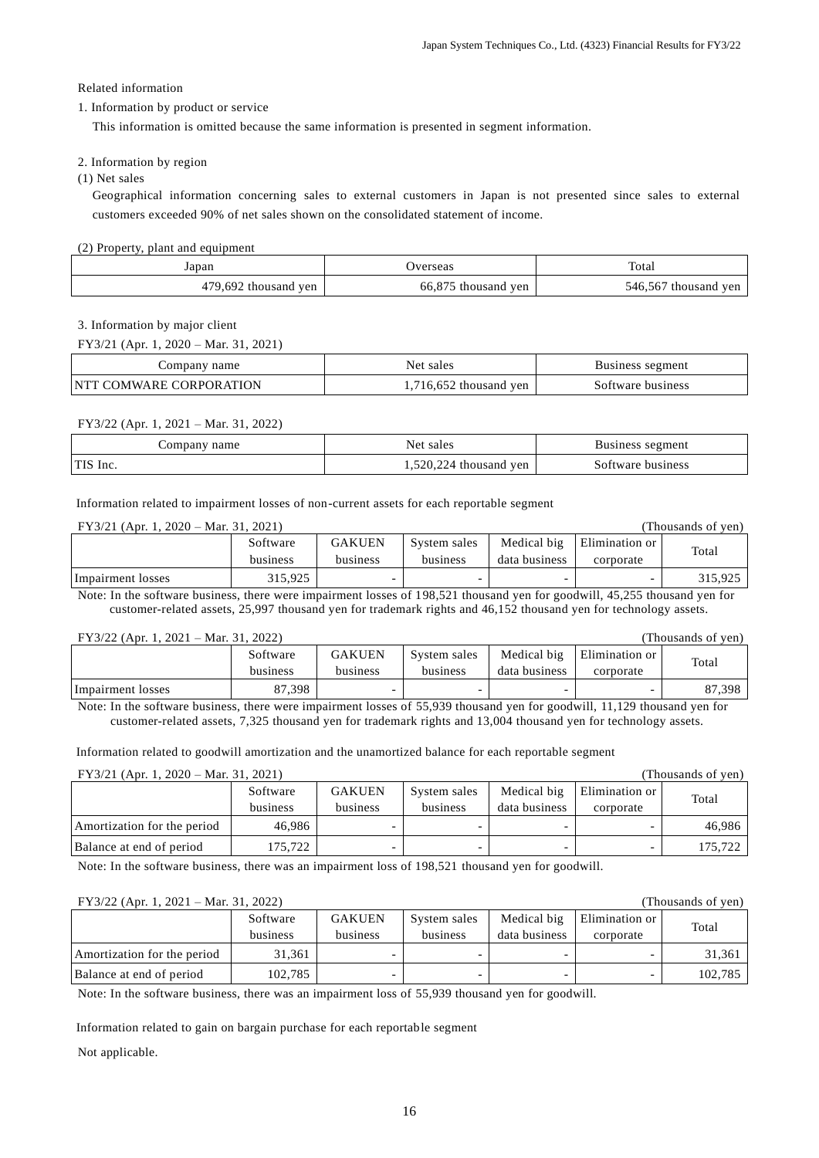### Related information

## 1. Information by product or service

This information is omitted because the same information is presented in segment information.

## 2. Information by region

## (1) Net sales

Geographical information concerning sales to external customers in Japan is not presented since sales to external customers exceeded 90% of net sales shown on the consolidated statement of income.

## (2) Property, plant and equipment

| Japan                        | Jverseas                                        | Total<br>.                 |
|------------------------------|-------------------------------------------------|----------------------------|
| 692<br>7C<br>ven<br>thousand | $\sim$ $\sim$ $\sim$<br>ven<br>66.8<br>thousand | 546.56.<br>ven<br>thousand |

#### 3. Information by major client

FY3/21 (Apr. 1, 2020 – Mar. 31, 2021)

| Company name            | Net sales            | Business segment  |
|-------------------------|----------------------|-------------------|
| NTT COMWARE CORPORATION | 716,652 thousand yen | Software business |

## FY3/22 (Apr. 1, 2021 – Mar. 31, 2022)

| name<br>$\mathcal{L}$ ompany | Net sales                           | segment<br>Business |
|------------------------------|-------------------------------------|---------------------|
| TIS Inc.                     | $1,520,224$ thousand $\cdot$<br>ven | Software business   |

Information related to impairment losses of non-current assets for each reportable segment

| $FY3/21$ (Apr. 1, 2020 – Mar. 31, 2021) |          |               |              |               |                | (Thousands of yen) |
|-----------------------------------------|----------|---------------|--------------|---------------|----------------|--------------------|
|                                         | Software | <b>GAKUEN</b> | System sales | Medical big   | Elimination or | Total              |
|                                         | business | business      | business     | data business | corporate      |                    |
| Impairment losses                       | 315.925  |               |              |               | -              | 315.925            |

Note: In the software business, there were impairment losses of 198,521 thousand yen for goodwill, 45,255 thousand yen for customer-related assets, 25,997 thousand yen for trademark rights and 46,152 thousand yen for technology assets.

| $FY3/22$ (Apr. 1, 2021 – Mar. 31, 2022)<br>(Thousands of ven) |          |               |              |               |                |        |
|---------------------------------------------------------------|----------|---------------|--------------|---------------|----------------|--------|
|                                                               | Software | <b>GAKUEN</b> | System sales | Medical big   | Elimination or | Total  |
|                                                               | business | business      | business     | data business | corporate      |        |
| Impairment losses                                             | 87,398   |               |              |               |                | 87.398 |

Note: In the software business, there were impairment losses of 55,939 thousand yen for goodwill, 11,129 thousand yen for customer-related assets, 7,325 thousand yen for trademark rights and 13,004 thousand yen for technology assets.

Information related to goodwill amortization and the unamortized balance for each reportable segment

# FY3/21 (Apr. 1, 2020 – Mar. 31, 2021) (Thousands of yen)

| $1.1$ $1.01$ $2.1$ $1.1$ $1.20$ $2.0$ | 11141.21.2021 |               |              |               |                | 1100    |
|---------------------------------------|---------------|---------------|--------------|---------------|----------------|---------|
|                                       | Software      | <b>GAKUEN</b> | System sales | Medical big   | Elimination or | Total   |
|                                       | business      | business      | business     | data business | corporate      |         |
| Amortization for the period           | 46.986        |               |              |               |                | 46.986  |
| Balance at end of period              | 175.722       |               |              |               |                | 175.722 |

Note: In the software business, there was an impairment loss of 198,521 thousand yen for goodwill.

| $FY3/22$ (Apr. 1, 2021 – Mar. 31, 2022)<br>(Thousands of yen) |          |               |              |               |                |         |
|---------------------------------------------------------------|----------|---------------|--------------|---------------|----------------|---------|
|                                                               | Software | <b>GAKUEN</b> | System sales | Medical big   | Elimination or | Total   |
|                                                               | business | business      | business     | data business | corporate      |         |
| Amortization for the period                                   | 31,361   |               |              |               |                | 31,361  |
| Balance at end of period                                      | 102.785  |               |              |               |                | 102.785 |

Note: In the software business, there was an impairment loss of 55,939 thousand yen for goodwill.

Information related to gain on bargain purchase for each reportable segment

Not applicable.